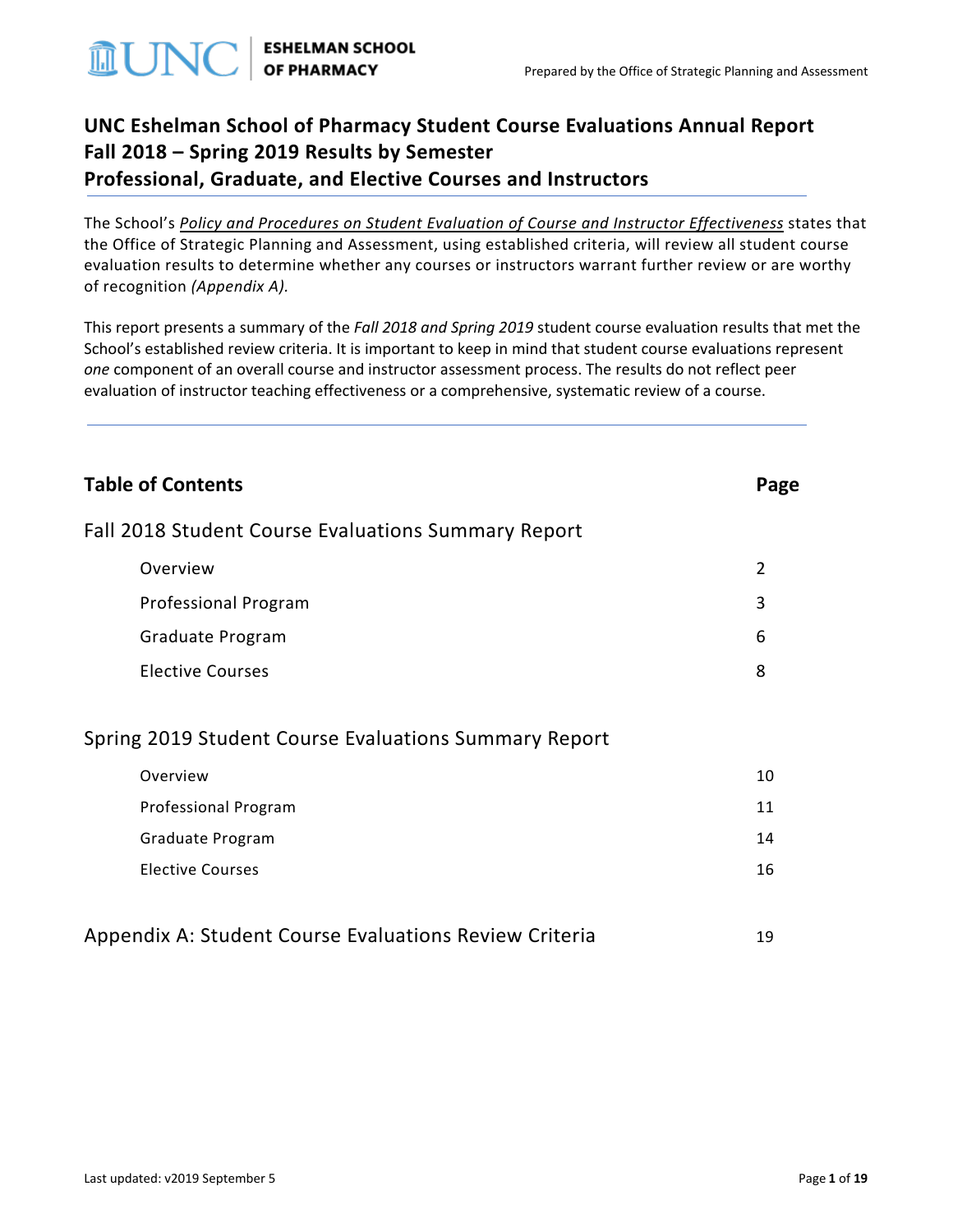

# **UNC Eshelman School of Pharmacy Student Course Evaluations Annual Report Fall 2018 – Spring 2019 Results by Semester Professional, Graduate, and Elective Courses and Instructors**

The School's *[Policy and Procedures on Student Evaluation of Course and Instructor Effectiveness](http://faopharmacy.unc.edu/files/2015/05/Course-Evaluation-Policy-and-Procedures-5-7-141.pdf)* states that the Office of Strategic Planning and Assessment, using established criteria, will review all student course evaluation results to determine whether any courses or instructors warrant further review or are worthy of recognition *(Appendix A).*

This report presents a summary of the *Fall 2018 and Spring 2019* student course evaluation results that met the School's established review criteria. It is important to keep in mind that student course evaluations represent *one* component of an overall course and instructor assessment process. The results do not reflect peer evaluation of instructor teaching effectiveness or a comprehensive, systematic review of a course.

| <b>Table of Contents</b>                               | Page           |
|--------------------------------------------------------|----------------|
| Fall 2018 Student Course Evaluations Summary Report    |                |
| Overview                                               | $\overline{2}$ |
| <b>Professional Program</b>                            | 3              |
| Graduate Program                                       | 6              |
| <b>Elective Courses</b>                                | 8              |
| Spring 2019 Student Course Evaluations Summary Report  |                |
| Overview                                               | 10             |
| Professional Program                                   | 11             |
| Graduate Program                                       | 14             |
| <b>Elective Courses</b>                                | 16             |
| Appendix A: Student Course Evaluations Review Criteria | 19             |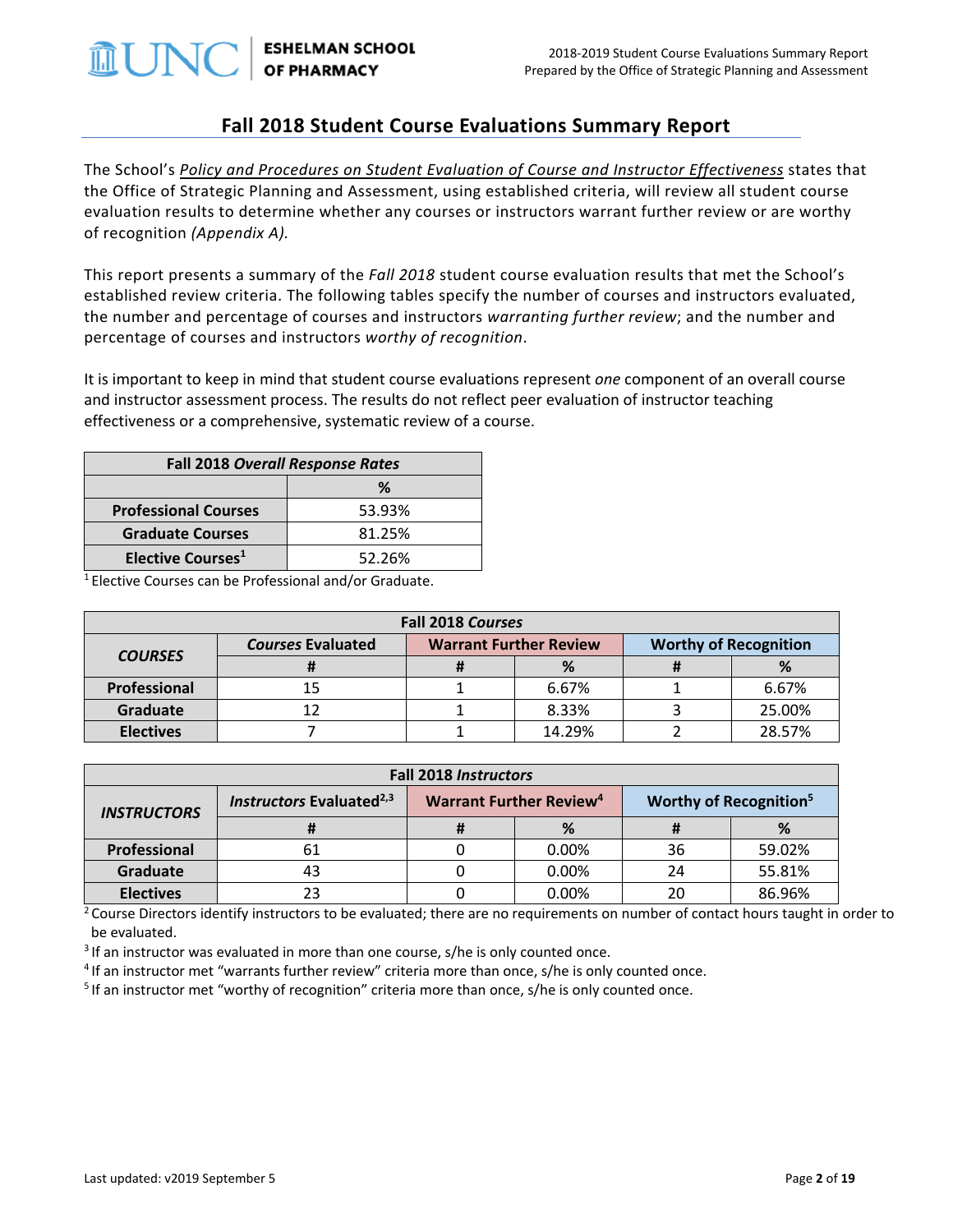

**ESHELMAN SCHOOL OF PHARMACY** 

### **Fall 2018 Student Course Evaluations Summary Report**

The School's *[Policy and Procedures on Student Evaluation of Course and Instructor Effectiveness](http://faopharmacy.unc.edu/files/2015/05/Course-Evaluation-Policy-and-Procedures-5-7-141.pdf)* states that the Office of Strategic Planning and Assessment, using established criteria, will review all student course evaluation results to determine whether any courses or instructors warrant further review or are worthy of recognition *(Appendix A).*

This report presents a summary of the *Fall 2018* student course evaluation results that met the School's established review criteria. The following tables specify the number of courses and instructors evaluated, the number and percentage of courses and instructors *warranting further review*; and the number and percentage of courses and instructors *worthy of recognition*.

It is important to keep in mind that student course evaluations represent *one* component of an overall course and instructor assessment process. The results do not reflect peer evaluation of instructor teaching effectiveness or a comprehensive, systematic review of a course.

| <b>Fall 2018 Overall Response Rates</b> |        |  |  |  |
|-----------------------------------------|--------|--|--|--|
| ℅                                       |        |  |  |  |
| <b>Professional Courses</b>             | 53.93% |  |  |  |
| <b>Graduate Courses</b>                 | 81.25% |  |  |  |
| Elective Courses <sup>1</sup>           | 52.26% |  |  |  |

1 Elective Courses can be Professional and/or Graduate.

| Fall 2018 Courses |                          |                                                               |        |  |        |  |
|-------------------|--------------------------|---------------------------------------------------------------|--------|--|--------|--|
| <b>COURSES</b>    | <b>Courses Evaluated</b> | <b>Warrant Further Review</b><br><b>Worthy of Recognition</b> |        |  |        |  |
|                   |                          |                                                               |        |  | %      |  |
| Professional      | 15                       |                                                               | 6.67%  |  | 6.67%  |  |
| <b>Graduate</b>   | 12                       |                                                               | 8.33%  |  | 25.00% |  |
| <b>Electives</b>  |                          |                                                               | 14.29% |  | 28.57% |  |

| <b>Fall 2018 Instructors</b> |                                      |                                           |       |                                    |        |  |
|------------------------------|--------------------------------------|-------------------------------------------|-------|------------------------------------|--------|--|
| <b>INSTRUCTORS</b>           | Instructors Evaluated <sup>2,3</sup> | <b>Warrant Further Review<sup>4</sup></b> |       | Worthy of Recognition <sup>5</sup> |        |  |
|                              |                                      |                                           | %     |                                    |        |  |
| Professional                 | 61                                   |                                           | 0.00% | 36                                 | 59.02% |  |
| Graduate                     | 43                                   |                                           | 0.00% | 24                                 | 55.81% |  |
| <b>Electives</b>             | 23                                   |                                           | 0.00% | 20                                 | 86.96% |  |

<sup>2</sup> Course Directors identify instructors to be evaluated; there are no requirements on number of contact hours taught in order to be evaluated.

<sup>3</sup> If an instructor was evaluated in more than one course, s/he is only counted once.

<sup>4</sup> If an instructor met "warrants further review" criteria more than once, s/he is only counted once.<br><sup>5</sup> If an instructor met "worthy of recognition" criteria more than once, s/he is only counted once.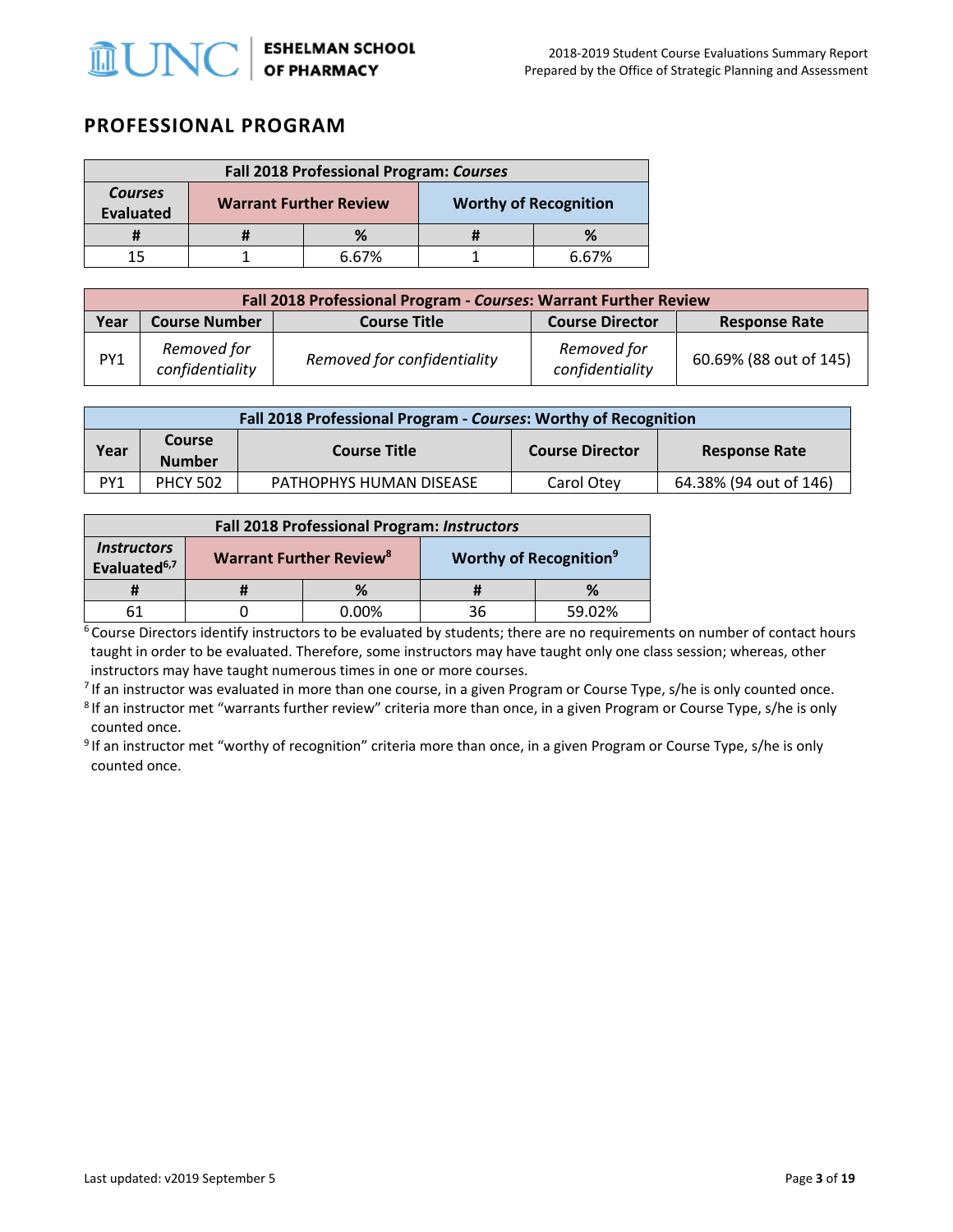

### **PROFESSIONAL PROGRAM**

| Fall 2018 Professional Program: Courses |                               |       |  |                              |  |
|-----------------------------------------|-------------------------------|-------|--|------------------------------|--|
| <b>Courses</b><br><b>Evaluated</b>      | <b>Warrant Further Review</b> |       |  | <b>Worthy of Recognition</b> |  |
|                                         |                               |       |  |                              |  |
|                                         |                               | 6 67% |  | 6 67%                        |  |

|                                                                                                       | Fall 2018 Professional Program - Courses: Warrant Further Review |                             |                                |                        |  |  |  |  |
|-------------------------------------------------------------------------------------------------------|------------------------------------------------------------------|-----------------------------|--------------------------------|------------------------|--|--|--|--|
| <b>Course Number</b><br><b>Course Director</b><br>Year<br><b>Course Title</b><br><b>Response Rate</b> |                                                                  |                             |                                |                        |  |  |  |  |
| PY1                                                                                                   | Removed for<br>confidentiality                                   | Removed for confidentiality | Removed for<br>confidentiality | 60.69% (88 out of 145) |  |  |  |  |

| Fall 2018 Professional Program - Courses: Worthy of Recognition                                                 |                 |                         |            |                        |  |  |  |
|-----------------------------------------------------------------------------------------------------------------|-----------------|-------------------------|------------|------------------------|--|--|--|
| <b>Course</b><br>Year<br><b>Course Title</b><br><b>Course Director</b><br><b>Response Rate</b><br><b>Number</b> |                 |                         |            |                        |  |  |  |
| PY1                                                                                                             | <b>PHCY 502</b> | PATHOPHYS HUMAN DISEASE | Carol Otev | 64.38% (94 out of 146) |  |  |  |

| <b>Fall 2018 Professional Program: Instructors</b>    |                                                                                       |       |    |        |  |
|-------------------------------------------------------|---------------------------------------------------------------------------------------|-------|----|--------|--|
| <i><b>Instructors</b></i><br>Evaluated <sup>6,7</sup> | <b>Worthy of Recognition<sup>9</sup></b><br><b>Warrant Further Review<sup>8</sup></b> |       |    |        |  |
|                                                       |                                                                                       | %     |    | %      |  |
| 61                                                    |                                                                                       | 0.00% | 36 | 59.02% |  |

 $6$  Course Directors identify instructors to be evaluated by students; there are no requirements on number of contact hours taught in order to be evaluated. Therefore, some instructors may have taught only one class session; whereas, other instructors may have taught numerous times in one or more courses.

<sup>7</sup> If an instructor was evaluated in more than one course, in a given Program or Course Type, s/he is only counted once.<br><sup>8</sup> If an instructor met "warrants further review" criteria more than once, in a given Program or C

counted once.

<sup>9</sup> If an instructor met "worthy of recognition" criteria more than once, in a given Program or Course Type, s/he is only counted once.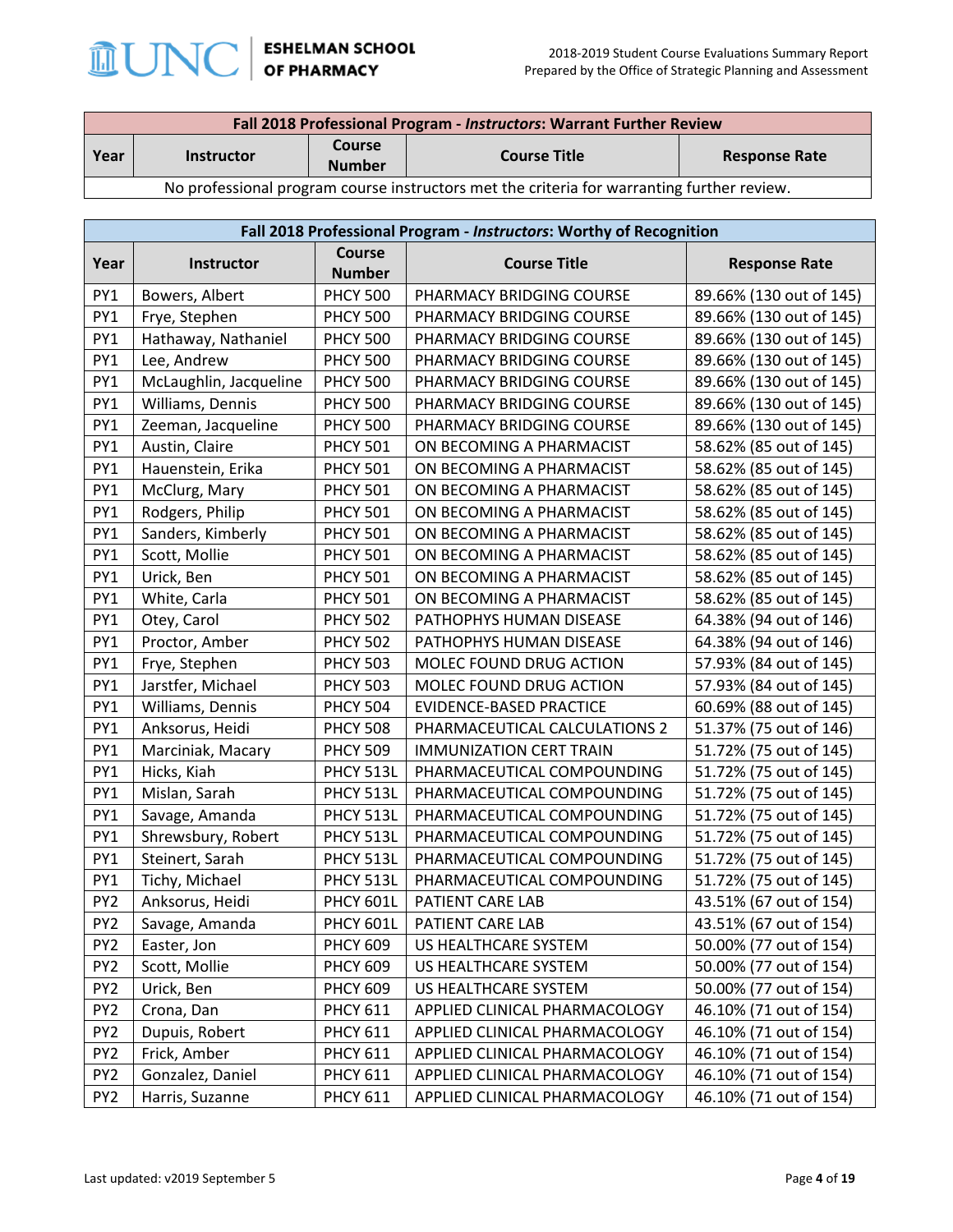

| Fall 2018 Professional Program - Instructors: Warrant Further Review                       |                                                                                                    |  |  |  |  |
|--------------------------------------------------------------------------------------------|----------------------------------------------------------------------------------------------------|--|--|--|--|
| Year                                                                                       | <b>Course</b><br><b>Course Title</b><br><b>Response Rate</b><br><b>Instructor</b><br><b>Number</b> |  |  |  |  |
| No professional program course instructors met the criteria for warranting further review. |                                                                                                    |  |  |  |  |

No professional program course instructors met the criteria for warranting further review.

|                 | Fall 2018 Professional Program - Instructors: Worthy of Recognition |                         |                                |                         |  |  |  |
|-----------------|---------------------------------------------------------------------|-------------------------|--------------------------------|-------------------------|--|--|--|
| Year            | Instructor                                                          | Course<br><b>Number</b> | <b>Course Title</b>            | <b>Response Rate</b>    |  |  |  |
| PY1             | Bowers, Albert                                                      | <b>PHCY 500</b>         | PHARMACY BRIDGING COURSE       | 89.66% (130 out of 145) |  |  |  |
| PY1             | Frye, Stephen                                                       | <b>PHCY 500</b>         | PHARMACY BRIDGING COURSE       | 89.66% (130 out of 145) |  |  |  |
| PY1             | Hathaway, Nathaniel                                                 | <b>PHCY 500</b>         | PHARMACY BRIDGING COURSE       | 89.66% (130 out of 145) |  |  |  |
| PY1             | Lee, Andrew                                                         | <b>PHCY 500</b>         | PHARMACY BRIDGING COURSE       | 89.66% (130 out of 145) |  |  |  |
| PY1             | McLaughlin, Jacqueline                                              | <b>PHCY 500</b>         | PHARMACY BRIDGING COURSE       | 89.66% (130 out of 145) |  |  |  |
| PY1             | Williams, Dennis                                                    | <b>PHCY 500</b>         | PHARMACY BRIDGING COURSE       | 89.66% (130 out of 145) |  |  |  |
| PY1             | Zeeman, Jacqueline                                                  | <b>PHCY 500</b>         | PHARMACY BRIDGING COURSE       | 89.66% (130 out of 145) |  |  |  |
| PY1             | Austin, Claire                                                      | <b>PHCY 501</b>         | ON BECOMING A PHARMACIST       | 58.62% (85 out of 145)  |  |  |  |
| PY1             | Hauenstein, Erika                                                   | <b>PHCY 501</b>         | ON BECOMING A PHARMACIST       | 58.62% (85 out of 145)  |  |  |  |
| PY1             | McClurg, Mary                                                       | <b>PHCY 501</b>         | ON BECOMING A PHARMACIST       | 58.62% (85 out of 145)  |  |  |  |
| PY1             | Rodgers, Philip                                                     | <b>PHCY 501</b>         | ON BECOMING A PHARMACIST       | 58.62% (85 out of 145)  |  |  |  |
| PY1             | Sanders, Kimberly                                                   | <b>PHCY 501</b>         | ON BECOMING A PHARMACIST       | 58.62% (85 out of 145)  |  |  |  |
| PY1             | Scott, Mollie                                                       | <b>PHCY 501</b>         | ON BECOMING A PHARMACIST       | 58.62% (85 out of 145)  |  |  |  |
| PY1             | Urick, Ben                                                          | <b>PHCY 501</b>         | ON BECOMING A PHARMACIST       | 58.62% (85 out of 145)  |  |  |  |
| PY1             | White, Carla                                                        | <b>PHCY 501</b>         | ON BECOMING A PHARMACIST       | 58.62% (85 out of 145)  |  |  |  |
| PY1             | Otey, Carol                                                         | <b>PHCY 502</b>         | PATHOPHYS HUMAN DISEASE        | 64.38% (94 out of 146)  |  |  |  |
| PY1             | Proctor, Amber                                                      | <b>PHCY 502</b>         | PATHOPHYS HUMAN DISEASE        | 64.38% (94 out of 146)  |  |  |  |
| PY1             | Frye, Stephen                                                       | <b>PHCY 503</b>         | MOLEC FOUND DRUG ACTION        | 57.93% (84 out of 145)  |  |  |  |
| PY1             | Jarstfer, Michael                                                   | <b>PHCY 503</b>         | MOLEC FOUND DRUG ACTION        | 57.93% (84 out of 145)  |  |  |  |
| PY1             | Williams, Dennis                                                    | <b>PHCY 504</b>         | EVIDENCE-BASED PRACTICE        | 60.69% (88 out of 145)  |  |  |  |
| PY1             | Anksorus, Heidi                                                     | <b>PHCY 508</b>         | PHARMACEUTICAL CALCULATIONS 2  | 51.37% (75 out of 146)  |  |  |  |
| PY1             | Marciniak, Macary                                                   | <b>PHCY 509</b>         | <b>IMMUNIZATION CERT TRAIN</b> | 51.72% (75 out of 145)  |  |  |  |
| PY1             | Hicks, Kiah                                                         | PHCY 513L               | PHARMACEUTICAL COMPOUNDING     | 51.72% (75 out of 145)  |  |  |  |
| PY1             | Mislan, Sarah                                                       | PHCY 513L               | PHARMACEUTICAL COMPOUNDING     | 51.72% (75 out of 145)  |  |  |  |
| PY1             | Savage, Amanda                                                      | PHCY 513L               | PHARMACEUTICAL COMPOUNDING     | 51.72% (75 out of 145)  |  |  |  |
| PY1             | Shrewsbury, Robert                                                  | PHCY 513L               | PHARMACEUTICAL COMPOUNDING     | 51.72% (75 out of 145)  |  |  |  |
| PY1             | Steinert, Sarah                                                     | PHCY 513L               | PHARMACEUTICAL COMPOUNDING     | 51.72% (75 out of 145)  |  |  |  |
| PY1             | Tichy, Michael                                                      | PHCY 513L               | PHARMACEUTICAL COMPOUNDING     | 51.72% (75 out of 145)  |  |  |  |
| PY <sub>2</sub> | Anksorus, Heidi                                                     | PHCY 601L               | PATIENT CARE LAB               | 43.51% (67 out of 154)  |  |  |  |
| PY <sub>2</sub> | Savage, Amanda                                                      | <b>PHCY 601L</b>        | PATIENT CARE LAB               | 43.51% (67 out of 154)  |  |  |  |
| PY <sub>2</sub> | Easter, Jon                                                         | <b>PHCY 609</b>         | US HEALTHCARE SYSTEM           | 50.00% (77 out of 154)  |  |  |  |
| PY <sub>2</sub> | Scott, Mollie                                                       | <b>PHCY 609</b>         | US HEALTHCARE SYSTEM           | 50.00% (77 out of 154)  |  |  |  |
| PY <sub>2</sub> | Urick, Ben                                                          | <b>PHCY 609</b>         | US HEALTHCARE SYSTEM           | 50.00% (77 out of 154)  |  |  |  |
| PY <sub>2</sub> | Crona, Dan                                                          | <b>PHCY 611</b>         | APPLIED CLINICAL PHARMACOLOGY  | 46.10% (71 out of 154)  |  |  |  |
| PY <sub>2</sub> | Dupuis, Robert                                                      | <b>PHCY 611</b>         | APPLIED CLINICAL PHARMACOLOGY  | 46.10% (71 out of 154)  |  |  |  |
| PY <sub>2</sub> | Frick, Amber                                                        | <b>PHCY 611</b>         | APPLIED CLINICAL PHARMACOLOGY  | 46.10% (71 out of 154)  |  |  |  |
| PY <sub>2</sub> | Gonzalez, Daniel                                                    | <b>PHCY 611</b>         | APPLIED CLINICAL PHARMACOLOGY  | 46.10% (71 out of 154)  |  |  |  |
| PY <sub>2</sub> | Harris, Suzanne                                                     | <b>PHCY 611</b>         | APPLIED CLINICAL PHARMACOLOGY  | 46.10% (71 out of 154)  |  |  |  |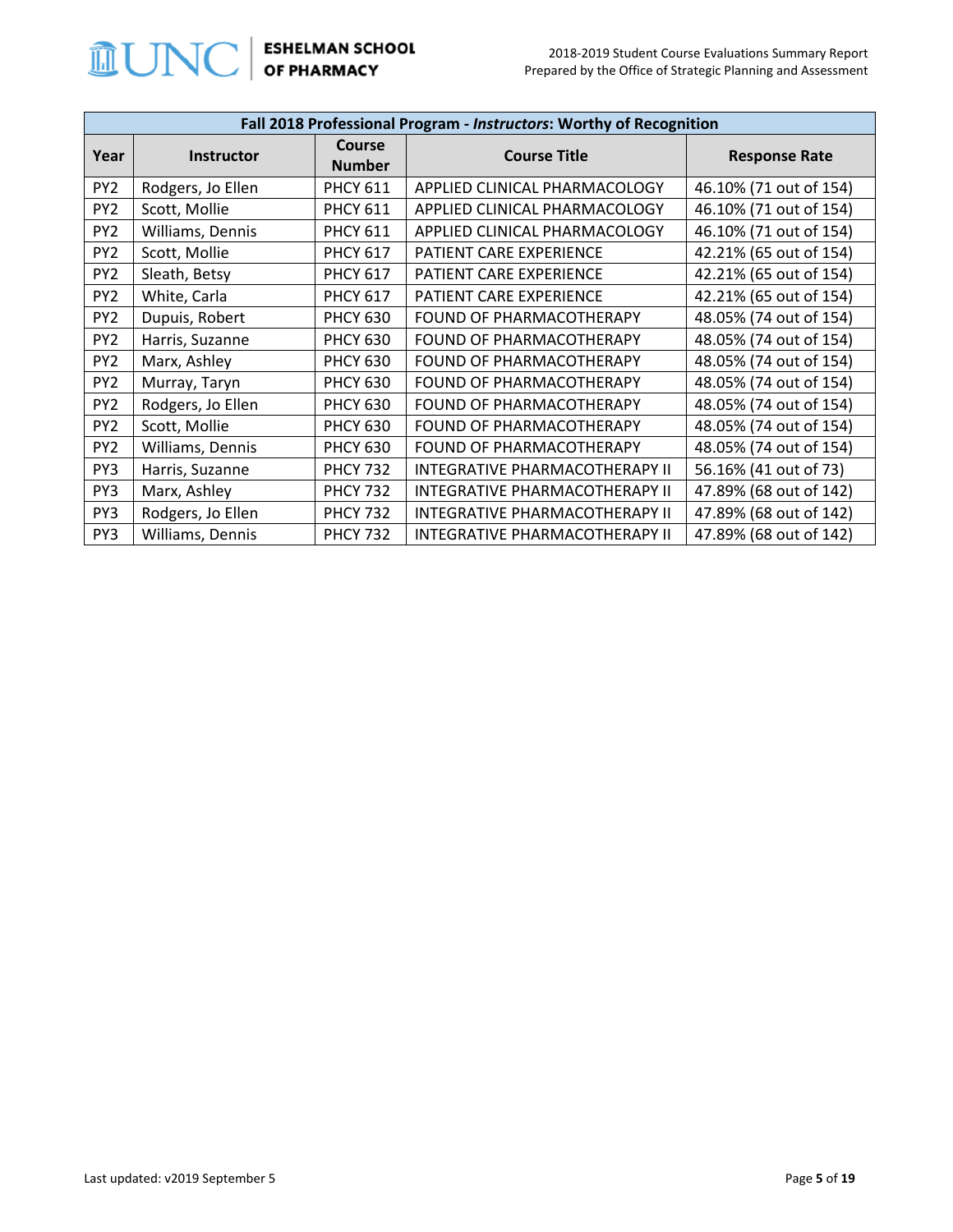

|                 | Fall 2018 Professional Program - Instructors: Worthy of Recognition |                                |                                |                        |  |  |
|-----------------|---------------------------------------------------------------------|--------------------------------|--------------------------------|------------------------|--|--|
| Year            | <b>Instructor</b>                                                   | <b>Course</b><br><b>Number</b> | <b>Course Title</b>            | <b>Response Rate</b>   |  |  |
| PY <sub>2</sub> | Rodgers, Jo Ellen                                                   | <b>PHCY 611</b>                | APPLIED CLINICAL PHARMACOLOGY  | 46.10% (71 out of 154) |  |  |
| PY <sub>2</sub> | Scott, Mollie                                                       | <b>PHCY 611</b>                | APPLIED CLINICAL PHARMACOLOGY  | 46.10% (71 out of 154) |  |  |
| PY <sub>2</sub> | Williams, Dennis                                                    | <b>PHCY 611</b>                | APPLIED CLINICAL PHARMACOLOGY  | 46.10% (71 out of 154) |  |  |
| PY <sub>2</sub> | Scott, Mollie                                                       | <b>PHCY 617</b>                | PATIENT CARE EXPERIENCE        | 42.21% (65 out of 154) |  |  |
| PY <sub>2</sub> | Sleath, Betsy                                                       | <b>PHCY 617</b>                | <b>PATIENT CARE EXPERIENCE</b> | 42.21% (65 out of 154) |  |  |
| PY <sub>2</sub> | White, Carla                                                        | <b>PHCY 617</b>                | <b>PATIENT CARE EXPERIENCE</b> | 42.21% (65 out of 154) |  |  |
| PY <sub>2</sub> | Dupuis, Robert                                                      | <b>PHCY 630</b>                | FOUND OF PHARMACOTHERAPY       | 48.05% (74 out of 154) |  |  |
| PY <sub>2</sub> | Harris, Suzanne                                                     | <b>PHCY 630</b>                | FOUND OF PHARMACOTHERAPY       | 48.05% (74 out of 154) |  |  |
| PY <sub>2</sub> | Marx, Ashley                                                        | <b>PHCY 630</b>                | FOUND OF PHARMACOTHERAPY       | 48.05% (74 out of 154) |  |  |
| PY <sub>2</sub> | Murray, Taryn                                                       | <b>PHCY 630</b>                | FOUND OF PHARMACOTHERAPY       | 48.05% (74 out of 154) |  |  |
| PY <sub>2</sub> | Rodgers, Jo Ellen                                                   | <b>PHCY 630</b>                | FOUND OF PHARMACOTHERAPY       | 48.05% (74 out of 154) |  |  |
| PY <sub>2</sub> | Scott, Mollie                                                       | <b>PHCY 630</b>                | FOUND OF PHARMACOTHERAPY       | 48.05% (74 out of 154) |  |  |
| PY <sub>2</sub> | Williams, Dennis                                                    | <b>PHCY 630</b>                | FOUND OF PHARMACOTHERAPY       | 48.05% (74 out of 154) |  |  |
| PY3             | Harris, Suzanne                                                     | <b>PHCY 732</b>                | INTEGRATIVE PHARMACOTHERAPY II | 56.16% (41 out of 73)  |  |  |
| PY3             | Marx, Ashley                                                        | <b>PHCY 732</b>                | INTEGRATIVE PHARMACOTHERAPY II | 47.89% (68 out of 142) |  |  |
| PY3             | Rodgers, Jo Ellen                                                   | <b>PHCY 732</b>                | INTEGRATIVE PHARMACOTHERAPY II | 47.89% (68 out of 142) |  |  |
| PY3             | Williams, Dennis                                                    | <b>PHCY 732</b>                | INTEGRATIVE PHARMACOTHERAPY II | 47.89% (68 out of 142) |  |  |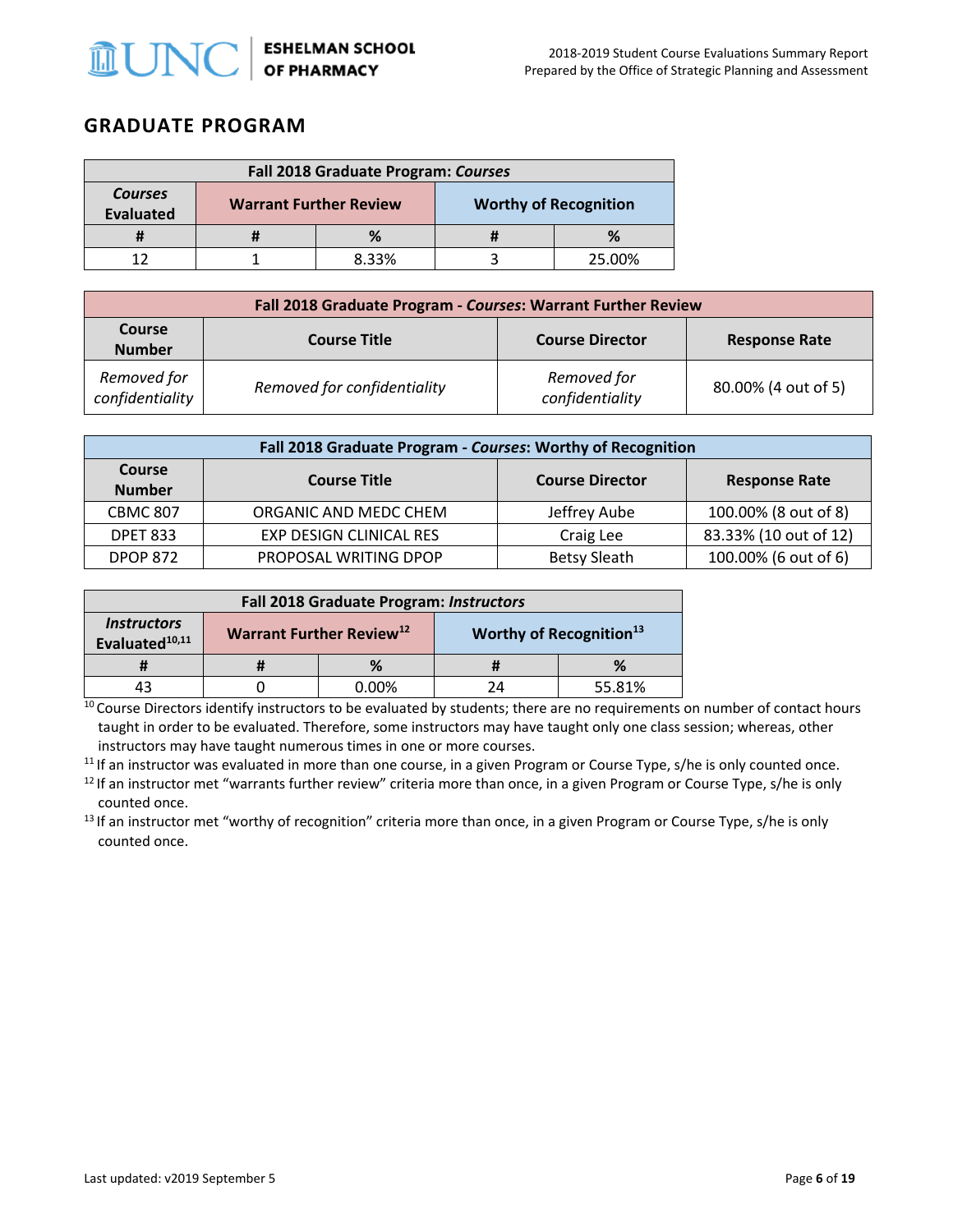

### **GRADUATE PROGRAM**

| <b>Fall 2018 Graduate Program: Courses</b>                                                          |  |       |  |        |
|-----------------------------------------------------------------------------------------------------|--|-------|--|--------|
| <b>Courses</b><br><b>Worthy of Recognition</b><br><b>Warrant Further Review</b><br><b>Evaluated</b> |  |       |  |        |
|                                                                                                     |  |       |  |        |
|                                                                                                     |  | 8.33% |  | 25.00% |

| Fall 2018 Graduate Program - Courses: Warrant Further Review |                             |                                |                      |  |
|--------------------------------------------------------------|-----------------------------|--------------------------------|----------------------|--|
| <b>Course</b><br><b>Number</b>                               | <b>Course Title</b>         | <b>Course Director</b>         | <b>Response Rate</b> |  |
| Removed for<br>confidentiality                               | Removed for confidentiality | Removed for<br>confidentiality | 80.00% (4 out of 5)  |  |

| Fall 2018 Graduate Program - Courses: Worthy of Recognition |                                                                       |                     |                       |  |  |
|-------------------------------------------------------------|-----------------------------------------------------------------------|---------------------|-----------------------|--|--|
| Course<br><b>Number</b>                                     | <b>Course Title</b><br><b>Course Director</b><br><b>Response Rate</b> |                     |                       |  |  |
| <b>CBMC 807</b>                                             | ORGANIC AND MEDC CHEM                                                 | Jeffrey Aube        | 100.00% (8 out of 8)  |  |  |
| <b>DPET 833</b>                                             | EXP DESIGN CLINICAL RES                                               | Craig Lee           | 83.33% (10 out of 12) |  |  |
| <b>DPOP 872</b>                                             | PROPOSAL WRITING DPOP                                                 | <b>Betsy Sleath</b> | 100.00% (6 out of 6)  |  |  |

| Fall 2018 Graduate Program: Instructors                 |                                                                                    |               |  |        |
|---------------------------------------------------------|------------------------------------------------------------------------------------|---------------|--|--------|
| <i><b>Instructors</b></i><br>Evaluated <sup>10,11</sup> | <b>Warrant Further Review</b> <sup>12</sup><br>Worthy of Recognition <sup>13</sup> |               |  |        |
|                                                         |                                                                                    | %             |  | %      |
|                                                         |                                                                                    | <u>0.00% </u> |  | 55.81% |

<sup>10</sup> Course Directors identify instructors to be evaluated by students; there are no requirements on number of contact hours taught in order to be evaluated. Therefore, some instructors may have taught only one class session; whereas, other instructors may have taught numerous times in one or more courses.

<sup>11</sup> If an instructor was evaluated in more than one course, in a given Program or Course Type, s/he is only counted once.

<sup>12</sup> If an instructor met "warrants further review" criteria more than once, in a given Program or Course Type, s/he is only

counted once.<br><sup>13</sup> If an instructor met "worthy of recognition" criteria more than once, in a given Program or Course Type, s/he is only counted once.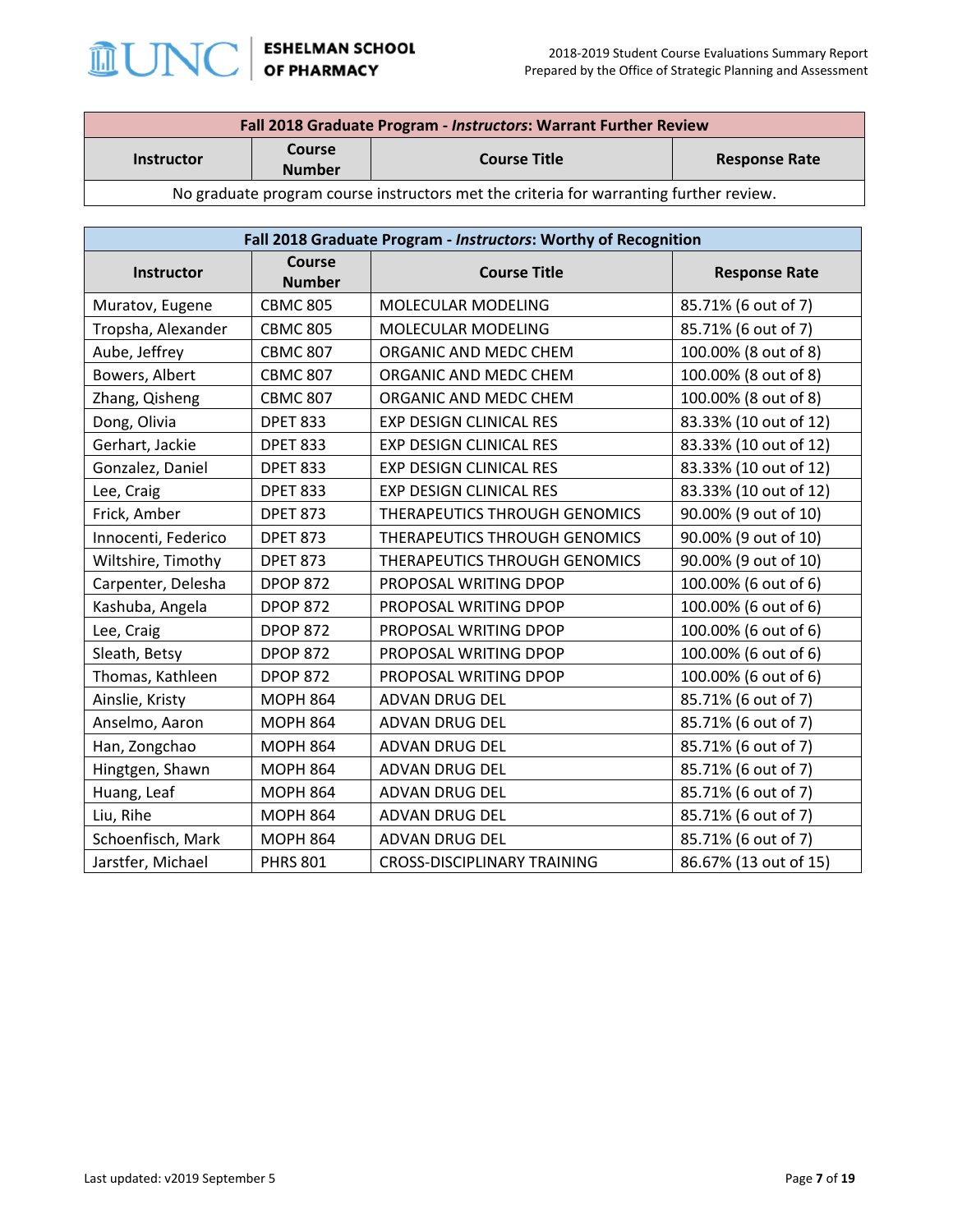

| Fall 2018 Graduate Program - Instructors: Warrant Further Review |        |                     |  |
|------------------------------------------------------------------|--------|---------------------|--|
|                                                                  | Course | <b>Course Title</b> |  |
| <b>Response Rate</b><br><b>Instructor</b><br><b>Number</b>       |        |                     |  |
|                                                                  |        |                     |  |

No graduate program course instructors met the criteria for warranting further review.

| Fall 2018 Graduate Program - Instructors: Worthy of Recognition |                                |                                             |                       |
|-----------------------------------------------------------------|--------------------------------|---------------------------------------------|-----------------------|
| Instructor                                                      | <b>Course</b><br><b>Number</b> | <b>Course Title</b><br><b>Response Rate</b> |                       |
| Muratov, Eugene                                                 | <b>CBMC 805</b>                | MOLECULAR MODELING                          | 85.71% (6 out of 7)   |
| Tropsha, Alexander                                              | <b>CBMC 805</b>                | MOLECULAR MODELING                          | 85.71% (6 out of 7)   |
| Aube, Jeffrey                                                   | <b>CBMC 807</b>                | ORGANIC AND MEDC CHEM                       | 100.00% (8 out of 8)  |
| Bowers, Albert                                                  | <b>CBMC 807</b>                | ORGANIC AND MEDC CHEM                       | 100.00% (8 out of 8)  |
| Zhang, Qisheng                                                  | <b>CBMC 807</b>                | ORGANIC AND MEDC CHEM                       | 100.00% (8 out of 8)  |
| Dong, Olivia                                                    | <b>DPET 833</b>                | <b>EXP DESIGN CLINICAL RES</b>              | 83.33% (10 out of 12) |
| Gerhart, Jackie                                                 | <b>DPET 833</b>                | <b>EXP DESIGN CLINICAL RES</b>              | 83.33% (10 out of 12) |
| Gonzalez, Daniel                                                | <b>DPET 833</b>                | <b>EXP DESIGN CLINICAL RES</b>              | 83.33% (10 out of 12) |
| Lee, Craig                                                      | <b>DPET 833</b>                | <b>EXP DESIGN CLINICAL RES</b>              | 83.33% (10 out of 12) |
| Frick, Amber                                                    | <b>DPET 873</b>                | THERAPEUTICS THROUGH GENOMICS               | 90.00% (9 out of 10)  |
| Innocenti, Federico                                             | <b>DPET 873</b>                | THERAPEUTICS THROUGH GENOMICS               | 90.00% (9 out of 10)  |
| Wiltshire, Timothy                                              | <b>DPET 873</b>                | THERAPEUTICS THROUGH GENOMICS               | 90.00% (9 out of 10)  |
| Carpenter, Delesha                                              | <b>DPOP 872</b>                | PROPOSAL WRITING DPOP                       | 100.00% (6 out of 6)  |
| Kashuba, Angela                                                 | <b>DPOP 872</b>                | PROPOSAL WRITING DPOP                       | 100.00% (6 out of 6)  |
| Lee, Craig                                                      | <b>DPOP 872</b>                | PROPOSAL WRITING DPOP                       | 100.00% (6 out of 6)  |
| Sleath, Betsy                                                   | <b>DPOP 872</b>                | PROPOSAL WRITING DPOP                       | 100.00% (6 out of 6)  |
| Thomas, Kathleen                                                | <b>DPOP 872</b>                | PROPOSAL WRITING DPOP                       | 100.00% (6 out of 6)  |
| Ainslie, Kristy                                                 | <b>MOPH 864</b>                | ADVAN DRUG DEL                              | 85.71% (6 out of 7)   |
| Anselmo, Aaron                                                  | <b>MOPH 864</b>                | ADVAN DRUG DEL                              | 85.71% (6 out of 7)   |
| Han, Zongchao                                                   | <b>MOPH 864</b>                | <b>ADVAN DRUG DEL</b>                       | 85.71% (6 out of 7)   |
| Hingtgen, Shawn                                                 | <b>MOPH 864</b>                | ADVAN DRUG DEL                              | 85.71% (6 out of 7)   |
| Huang, Leaf                                                     | <b>MOPH 864</b>                | ADVAN DRUG DEL                              | 85.71% (6 out of 7)   |
| Liu, Rihe                                                       | <b>MOPH 864</b>                | ADVAN DRUG DEL                              | 85.71% (6 out of 7)   |
| Schoenfisch, Mark                                               | <b>MOPH 864</b>                | ADVAN DRUG DEL                              | 85.71% (6 out of 7)   |
| Jarstfer, Michael                                               | <b>PHRS 801</b>                | <b>CROSS-DISCIPLINARY TRAINING</b>          | 86.67% (13 out of 15) |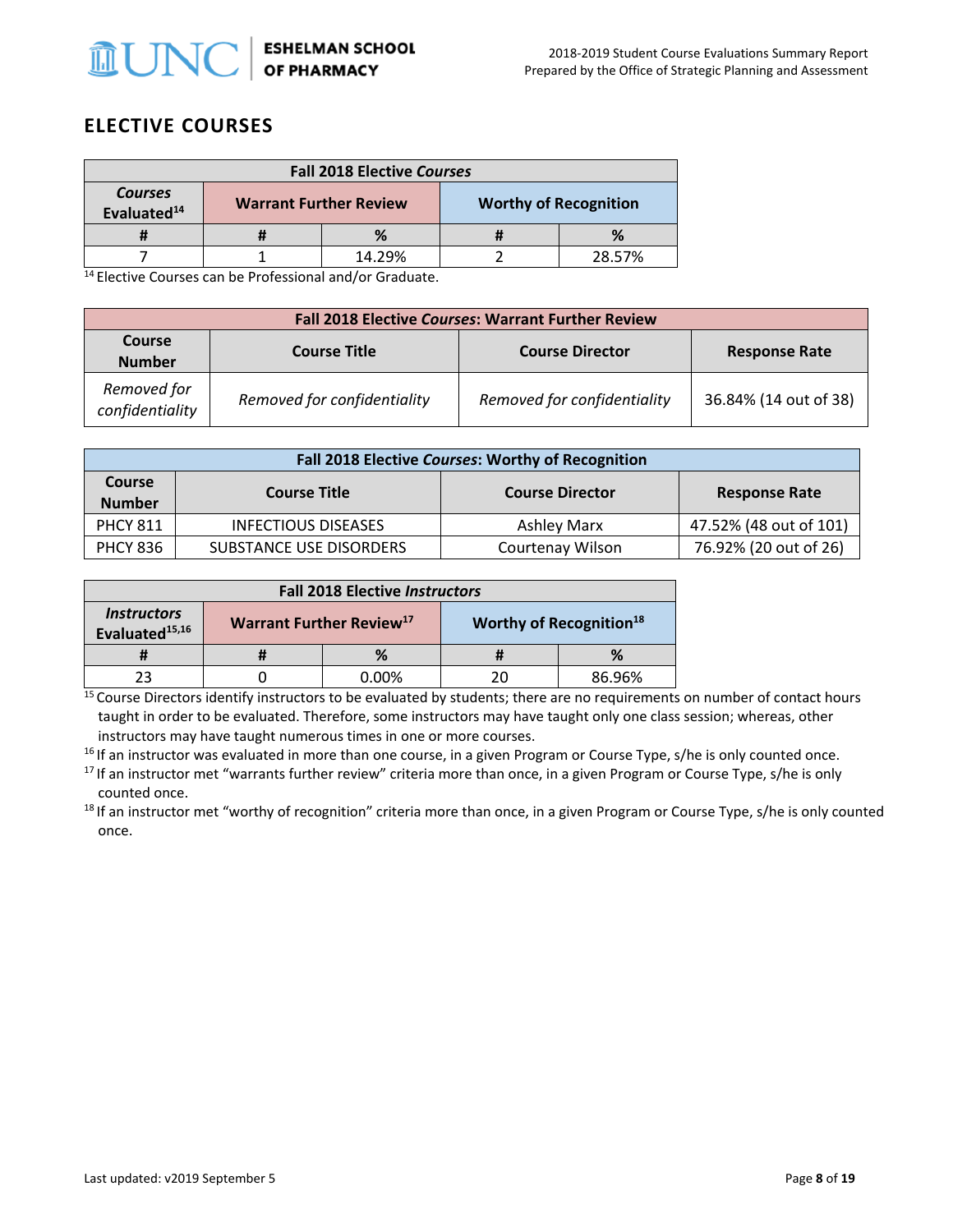

## **ELECTIVE COURSES**

| <b>Fall 2018 Elective Courses</b>         |  |                               |  |                              |
|-------------------------------------------|--|-------------------------------|--|------------------------------|
| <b>Courses</b><br>Evaluated <sup>14</sup> |  | <b>Warrant Further Review</b> |  | <b>Worthy of Recognition</b> |
|                                           |  | %                             |  | %                            |
|                                           |  | 14.29%                        |  | 28.57%                       |

 $14$  Elective Courses can be Professional and/or Graduate.

| <b>Fall 2018 Elective Courses: Warrant Further Review</b> |                             |                             |                       |  |
|-----------------------------------------------------------|-----------------------------|-----------------------------|-----------------------|--|
| <b>Course</b><br><b>Number</b>                            | <b>Course Title</b>         | <b>Course Director</b>      | <b>Response Rate</b>  |  |
| Removed for<br>confidentiality                            | Removed for confidentiality | Removed for confidentiality | 36.84% (14 out of 38) |  |

| Fall 2018 Elective Courses: Worthy of Recognition |                                                                       |                  |                        |  |  |
|---------------------------------------------------|-----------------------------------------------------------------------|------------------|------------------------|--|--|
| <b>Course</b><br><b>Number</b>                    | <b>Course Title</b><br><b>Course Director</b><br><b>Response Rate</b> |                  |                        |  |  |
| <b>PHCY 811</b>                                   | <b>INFECTIOUS DISEASES</b>                                            | Ashley Marx      | 47.52% (48 out of 101) |  |  |
| <b>PHCY 836</b>                                   | SUBSTANCE USE DISORDERS                                               | Courtenay Wilson | 76.92% (20 out of 26)  |  |  |

| <b>Fall 2018 Elective Instructors</b>                          |                                             |          |    |                                     |
|----------------------------------------------------------------|---------------------------------------------|----------|----|-------------------------------------|
| <i><u><b>Instructors</b></u></i><br>Evaluated <sup>15,16</sup> | <b>Warrant Further Review</b> <sup>17</sup> |          |    | Worthy of Recognition <sup>18</sup> |
|                                                                |                                             | ℅        |    | ℅                                   |
|                                                                |                                             | $0.00\%$ | 20 | 86.96%                              |

<sup>15</sup> Course Directors identify instructors to be evaluated by students; there are no requirements on number of contact hours taught in order to be evaluated. Therefore, some instructors may have taught only one class session; whereas, other instructors may have taught numerous times in one or more courses.

<sup>16</sup> If an instructor was evaluated in more than one course, in a given Program or Course Type, s/he is only counted once.

<sup>17</sup> If an instructor met "warrants further review" criteria more than once, in a given Program or Course Type, s/he is only

counted once.<br><sup>18</sup> If an instructor met "worthy of recognition" criteria more than once, in a given Program or Course Type, s/he is only counted once.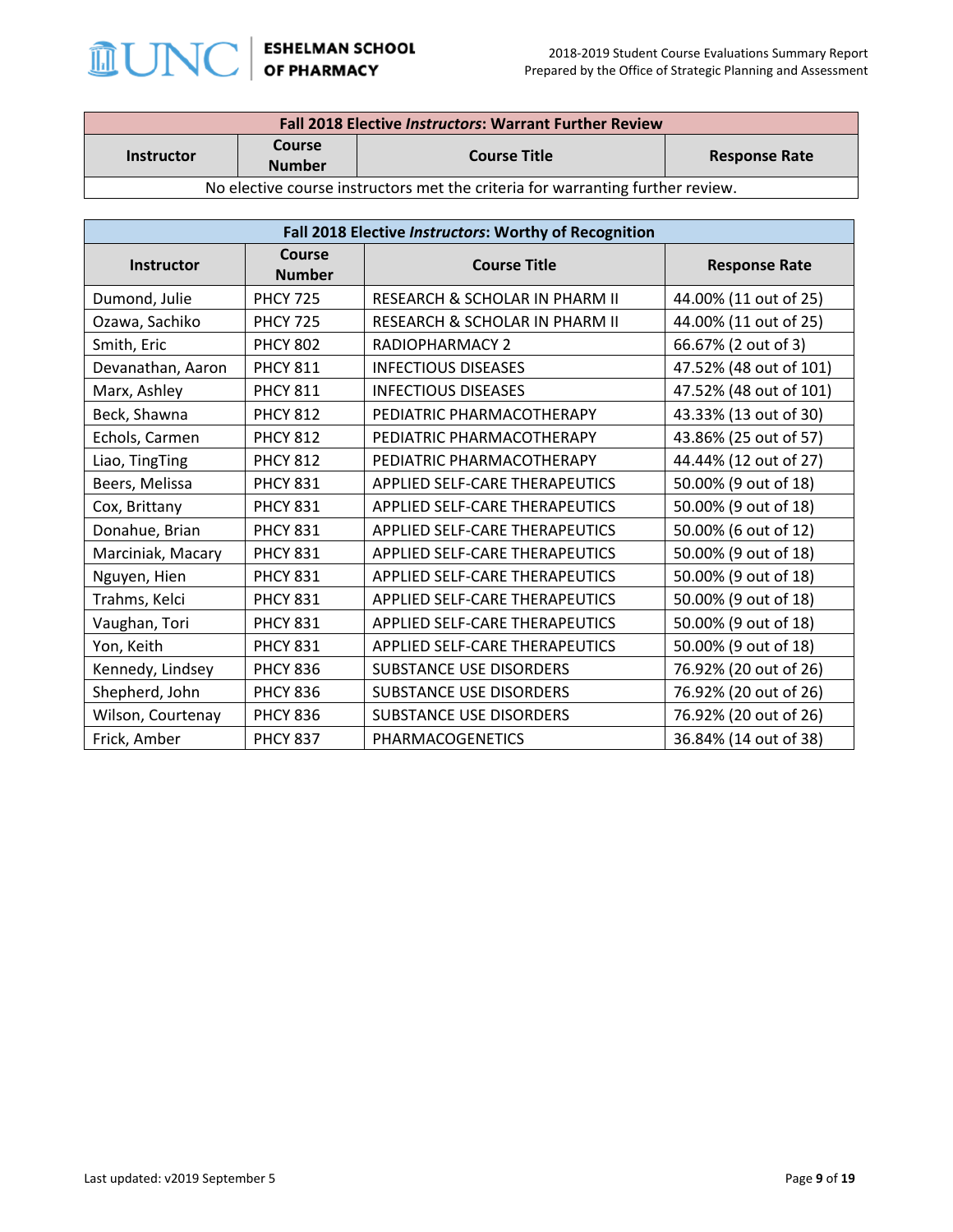

| <b>Fall 2018 Elective Instructors: Warrant Further Review</b>                  |                         |                     |                      |  |
|--------------------------------------------------------------------------------|-------------------------|---------------------|----------------------|--|
| <b>Instructor</b>                                                              | Course<br><b>Number</b> | <b>Course Title</b> | <b>Response Rate</b> |  |
| No elective course instructors met the criteria for warranting further review. |                         |                     |                      |  |

| Fall 2018 Elective Instructors: Worthy of Recognition |                         |                                |                        |
|-------------------------------------------------------|-------------------------|--------------------------------|------------------------|
| Instructor                                            | Course<br><b>Number</b> | <b>Course Title</b>            | <b>Response Rate</b>   |
| Dumond, Julie                                         | <b>PHCY 725</b>         | RESEARCH & SCHOLAR IN PHARM II | 44.00% (11 out of 25)  |
| Ozawa, Sachiko                                        | <b>PHCY 725</b>         | RESEARCH & SCHOLAR IN PHARM II | 44.00% (11 out of 25)  |
| Smith, Eric                                           | <b>PHCY 802</b>         | <b>RADIOPHARMACY 2</b>         | 66.67% (2 out of 3)    |
| Devanathan, Aaron                                     | <b>PHCY 811</b>         | <b>INFECTIOUS DISEASES</b>     | 47.52% (48 out of 101) |
| Marx, Ashley                                          | <b>PHCY 811</b>         | <b>INFECTIOUS DISEASES</b>     | 47.52% (48 out of 101) |
| Beck, Shawna                                          | <b>PHCY 812</b>         | PEDIATRIC PHARMACOTHERAPY      | 43.33% (13 out of 30)  |
| Echols, Carmen                                        | <b>PHCY 812</b>         | PEDIATRIC PHARMACOTHERAPY      | 43.86% (25 out of 57)  |
| Liao, TingTing                                        | <b>PHCY 812</b>         | PEDIATRIC PHARMACOTHERAPY      | 44.44% (12 out of 27)  |
| Beers, Melissa                                        | <b>PHCY 831</b>         | APPLIED SELF-CARE THERAPEUTICS | 50.00% (9 out of 18)   |
| Cox, Brittany                                         | <b>PHCY 831</b>         | APPLIED SELF-CARE THERAPEUTICS | 50.00% (9 out of 18)   |
| Donahue, Brian                                        | <b>PHCY 831</b>         | APPLIED SELF-CARE THERAPEUTICS | 50.00% (6 out of 12)   |
| Marciniak, Macary                                     | <b>PHCY 831</b>         | APPLIED SELF-CARE THERAPEUTICS | 50.00% (9 out of 18)   |
| Nguyen, Hien                                          | <b>PHCY 831</b>         | APPLIED SELF-CARE THERAPEUTICS | 50.00% (9 out of 18)   |
| Trahms, Kelci                                         | <b>PHCY 831</b>         | APPLIED SELF-CARE THERAPEUTICS | 50.00% (9 out of 18)   |
| Vaughan, Tori                                         | <b>PHCY 831</b>         | APPLIED SELF-CARE THERAPEUTICS | 50.00% (9 out of 18)   |
| Yon, Keith                                            | <b>PHCY 831</b>         | APPLIED SELF-CARE THERAPEUTICS | 50.00% (9 out of 18)   |
| Kennedy, Lindsey                                      | <b>PHCY 836</b>         | SUBSTANCE USE DISORDERS        | 76.92% (20 out of 26)  |
| Shepherd, John                                        | <b>PHCY 836</b>         | SUBSTANCE USE DISORDERS        | 76.92% (20 out of 26)  |
| Wilson, Courtenay                                     | <b>PHCY 836</b>         | SUBSTANCE USE DISORDERS        | 76.92% (20 out of 26)  |
| Frick, Amber                                          | <b>PHCY 837</b>         | PHARMACOGENETICS               | 36.84% (14 out of 38)  |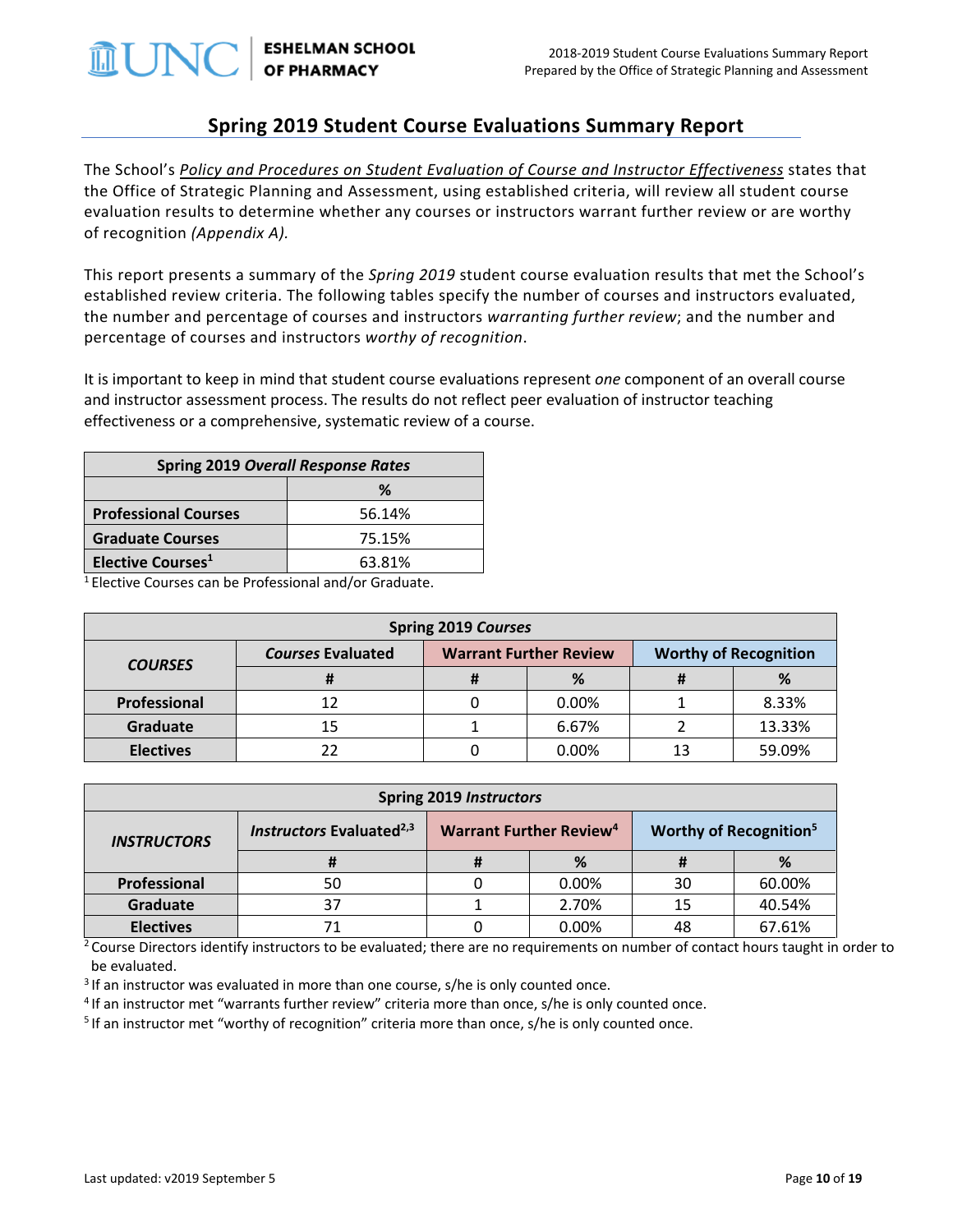

ESHELMAN SCHOOL<br>OF PHARMACY

### **Spring 2019 Student Course Evaluations Summary Report**

The School's *[Policy and Procedures on Student Evaluation of Course and Instructor Effectiveness](http://faopharmacy.unc.edu/files/2015/05/Course-Evaluation-Policy-and-Procedures-5-7-141.pdf)* states that the Office of Strategic Planning and Assessment, using established criteria, will review all student course evaluation results to determine whether any courses or instructors warrant further review or are worthy of recognition *(Appendix A).*

This report presents a summary of the *Spring 2019* student course evaluation results that met the School's established review criteria. The following tables specify the number of courses and instructors evaluated, the number and percentage of courses and instructors *warranting further review*; and the number and percentage of courses and instructors *worthy of recognition*.

It is important to keep in mind that student course evaluations represent *one* component of an overall course and instructor assessment process. The results do not reflect peer evaluation of instructor teaching effectiveness or a comprehensive, systematic review of a course.

| <b>Spring 2019 Overall Response Rates</b> |        |  |  |
|-------------------------------------------|--------|--|--|
| ℅                                         |        |  |  |
| <b>Professional Courses</b>               | 56.14% |  |  |
| <b>Graduate Courses</b><br>75.15%         |        |  |  |
| Elective Courses <sup>1</sup><br>63.81%   |        |  |  |

1 Elective Courses can be Professional and/or Graduate.

| <b>Spring 2019 Courses</b> |                          |                               |       |                              |        |
|----------------------------|--------------------------|-------------------------------|-------|------------------------------|--------|
| <b>COURSES</b>             | <b>Courses Evaluated</b> | <b>Warrant Further Review</b> |       | <b>Worthy of Recognition</b> |        |
|                            | т                        | Ħ                             | %     |                              | %      |
| Professional               | 12                       |                               | 0.00% |                              | 8.33%  |
| <b>Graduate</b>            | 15                       |                               | 6.67% |                              | 13.33% |
| <b>Electives</b>           | 22                       |                               | 0.00% |                              | 59.09% |

| <b>Spring 2019 Instructors</b> |                                      |  |                                           |    |                                          |
|--------------------------------|--------------------------------------|--|-------------------------------------------|----|------------------------------------------|
| <b>INSTRUCTORS</b>             | Instructors Evaluated <sup>2,3</sup> |  | <b>Warrant Further Review<sup>4</sup></b> |    | <b>Worthy of Recognition<sup>5</sup></b> |
|                                | Ħ                                    |  | %                                         | Ħ  | %                                        |
| Professional                   | 50                                   |  | 0.00%                                     | 30 | 60.00%                                   |
| Graduate                       | 37                                   |  | 2.70%                                     | 15 | 40.54%                                   |
| <b>Electives</b>               | 71                                   |  | 0.00%                                     | 48 | 67.61%                                   |

<sup>2</sup> Course Directors identify instructors to be evaluated; there are no requirements on number of contact hours taught in order to be evaluated.

<sup>3</sup> If an instructor was evaluated in more than one course, s/he is only counted once.

<sup>4</sup> If an instructor met "warrants further review" criteria more than once, s/he is only counted once.<br><sup>5</sup> If an instructor met "worthy of recognition" criteria more than once, s/he is only counted once.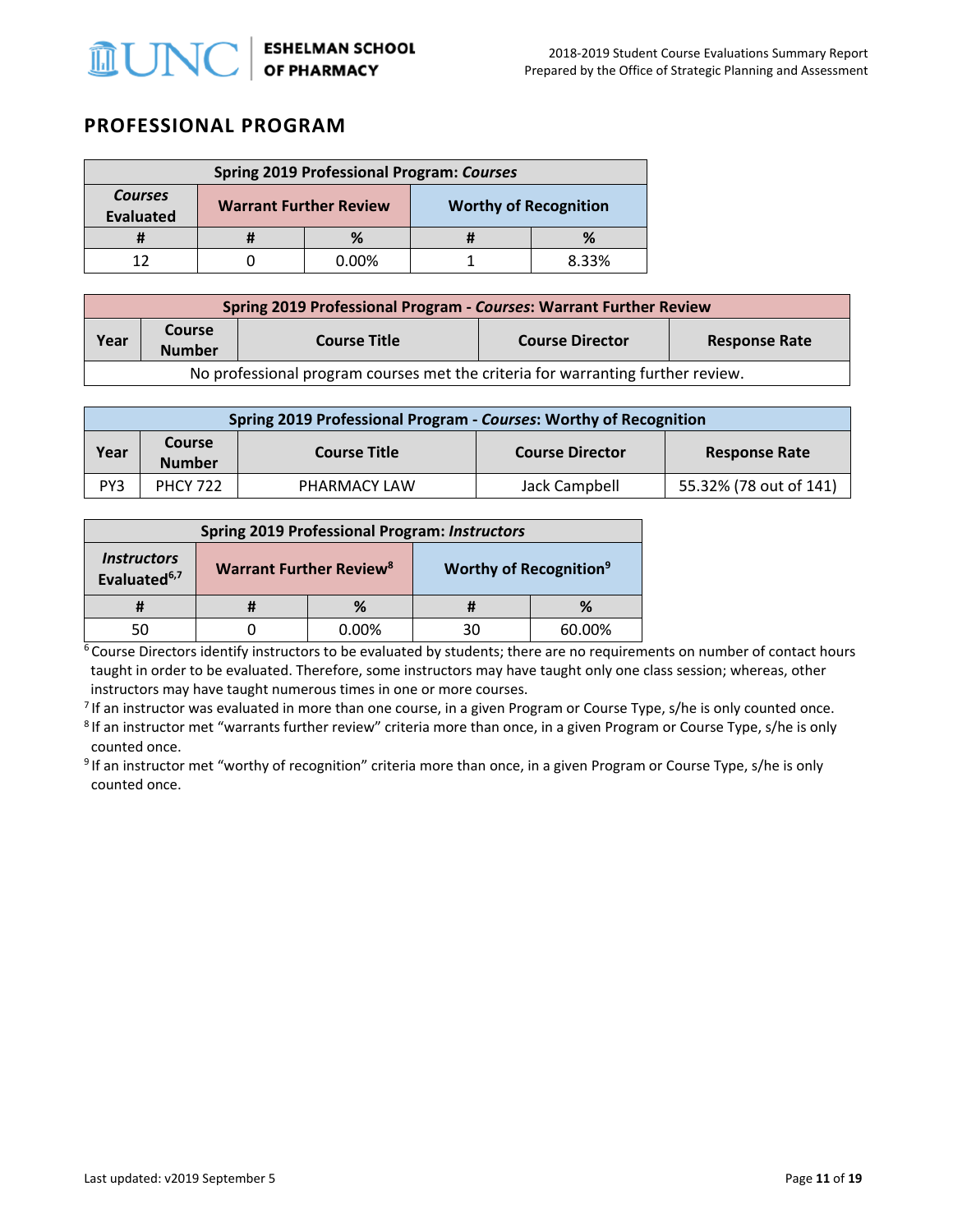

### **PROFESSIONAL PROGRAM**

| <b>Spring 2019 Professional Program: Courses</b> |                               |       |                              |       |  |
|--------------------------------------------------|-------------------------------|-------|------------------------------|-------|--|
| <b>Courses</b><br><b>Evaluated</b>               | <b>Warrant Further Review</b> |       | <b>Worthy of Recognition</b> |       |  |
|                                                  |                               | %     |                              |       |  |
|                                                  |                               | 0.00% |                              | 8.33% |  |

| Spring 2019 Professional Program - Courses: Warrant Further Review              |                                |                     |                        |                      |  |  |
|---------------------------------------------------------------------------------|--------------------------------|---------------------|------------------------|----------------------|--|--|
| Year                                                                            | <b>Course</b><br><b>Number</b> | <b>Course Title</b> | <b>Course Director</b> | <b>Response Rate</b> |  |  |
| No professional program courses met the criteria for warranting further review. |                                |                     |                        |                      |  |  |

| Spring 2019 Professional Program - Courses: Worthy of Recognition |                                |                     |                        |                        |  |  |
|-------------------------------------------------------------------|--------------------------------|---------------------|------------------------|------------------------|--|--|
| Year                                                              | <b>Course</b><br><b>Number</b> | <b>Course Title</b> | <b>Course Director</b> | <b>Response Rate</b>   |  |  |
| PY3                                                               | <b>PHCY 722</b>                | PHARMACY LAW        | Jack Campbell          | 55.32% (78 out of 141) |  |  |

| <b>Spring 2019 Professional Program: Instructors</b>  |                                           |       |                                           |        |
|-------------------------------------------------------|-------------------------------------------|-------|-------------------------------------------|--------|
| <i><b>Instructors</b></i><br>Evaluated <sup>6,7</sup> | <b>Warrant Further Review<sup>8</sup></b> |       | <b>Worthy of Recognition</b> <sup>9</sup> |        |
|                                                       |                                           | $\%$  |                                           | ℅      |
|                                                       |                                           | 0.00% | วด                                        | 60.00% |

 $6$  Course Directors identify instructors to be evaluated by students; there are no requirements on number of contact hours taught in order to be evaluated. Therefore, some instructors may have taught only one class session; whereas, other instructors may have taught numerous times in one or more courses.

<sup>7</sup> If an instructor was evaluated in more than one course, in a given Program or Course Type, s/he is only counted once.<br><sup>8</sup> If an instructor met "warrants further review" criteria more than once, in a given Program or C counted once.<br><sup>9</sup> If an instructor met "worthy of recognition" criteria more than once, in a given Program or Course Type, s/he is only

counted once.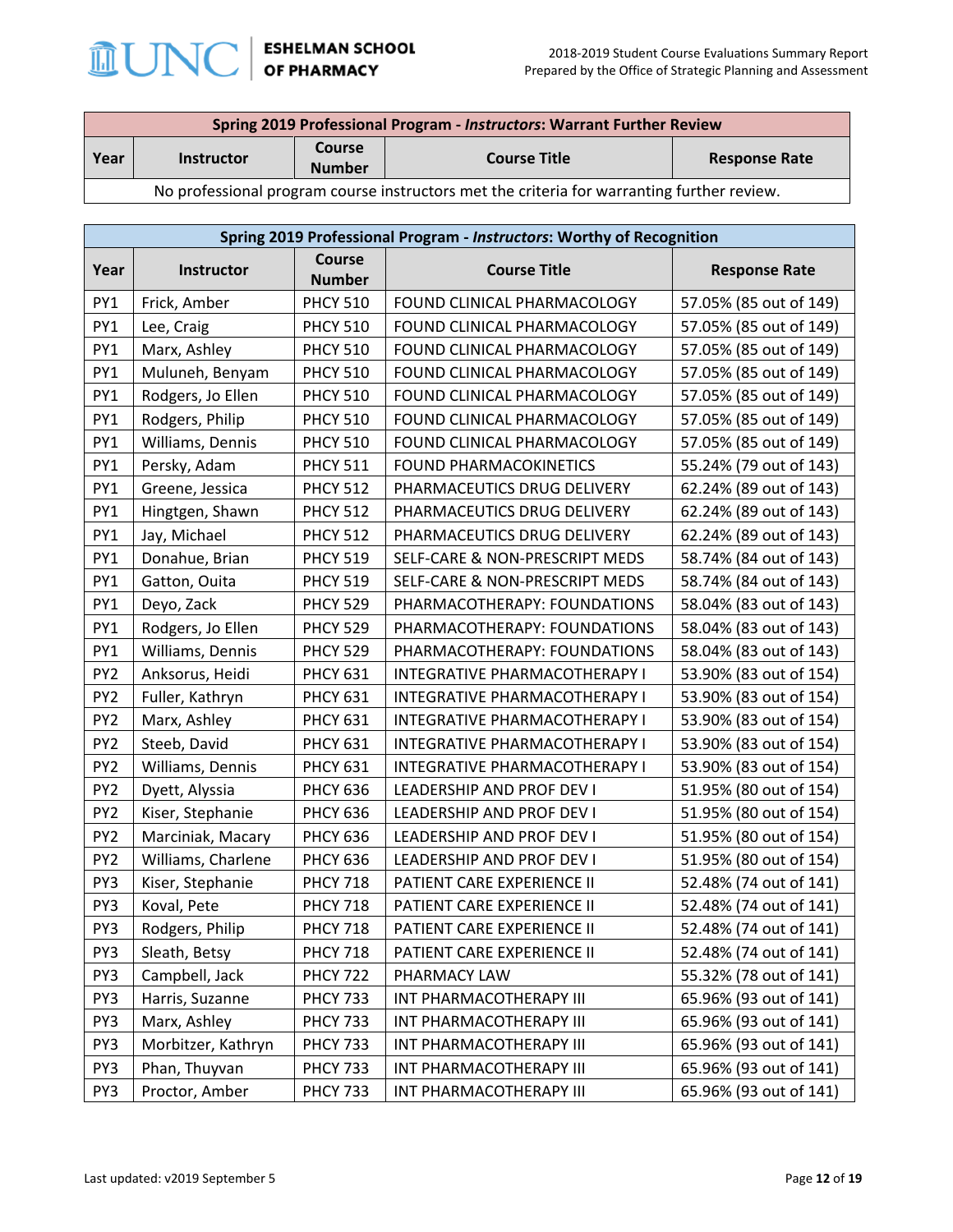

| Spring 2019 Professional Program - Instructors: Warrant Further Review                     |                   |                         |                     |                      |
|--------------------------------------------------------------------------------------------|-------------------|-------------------------|---------------------|----------------------|
| Year                                                                                       | <b>Instructor</b> | Course<br><b>Number</b> | <b>Course Title</b> | <b>Response Rate</b> |
| No professional program course instructors met the criteria for warranting further review. |                   |                         |                     |                      |

|                 | Spring 2019 Professional Program - Instructors: Worthy of Recognition |                 |                                |                        |  |  |
|-----------------|-----------------------------------------------------------------------|-----------------|--------------------------------|------------------------|--|--|
| Year            | Instructor<br><b>Number</b>                                           |                 | <b>Course Title</b>            | <b>Response Rate</b>   |  |  |
| PY1             | Frick, Amber                                                          | <b>PHCY 510</b> | FOUND CLINICAL PHARMACOLOGY    | 57.05% (85 out of 149) |  |  |
| PY1             | Lee, Craig                                                            | <b>PHCY 510</b> | FOUND CLINICAL PHARMACOLOGY    | 57.05% (85 out of 149) |  |  |
| PY1             | Marx, Ashley                                                          | <b>PHCY 510</b> | FOUND CLINICAL PHARMACOLOGY    | 57.05% (85 out of 149) |  |  |
| PY1             | Muluneh, Benyam                                                       | <b>PHCY 510</b> | FOUND CLINICAL PHARMACOLOGY    | 57.05% (85 out of 149) |  |  |
| PY1             | Rodgers, Jo Ellen                                                     | <b>PHCY 510</b> | FOUND CLINICAL PHARMACOLOGY    | 57.05% (85 out of 149) |  |  |
| PY1             | Rodgers, Philip                                                       | <b>PHCY 510</b> | FOUND CLINICAL PHARMACOLOGY    | 57.05% (85 out of 149) |  |  |
| PY1             | Williams, Dennis                                                      | <b>PHCY 510</b> | FOUND CLINICAL PHARMACOLOGY    | 57.05% (85 out of 149) |  |  |
| PY1             | Persky, Adam                                                          | <b>PHCY 511</b> | FOUND PHARMACOKINETICS         | 55.24% (79 out of 143) |  |  |
| PY1             | Greene, Jessica                                                       | <b>PHCY 512</b> | PHARMACEUTICS DRUG DELIVERY    | 62.24% (89 out of 143) |  |  |
| PY1             | Hingtgen, Shawn                                                       | <b>PHCY 512</b> | PHARMACEUTICS DRUG DELIVERY    | 62.24% (89 out of 143) |  |  |
| PY1             | Jay, Michael                                                          | <b>PHCY 512</b> | PHARMACEUTICS DRUG DELIVERY    | 62.24% (89 out of 143) |  |  |
| PY1             | Donahue, Brian                                                        | <b>PHCY 519</b> | SELF-CARE & NON-PRESCRIPT MEDS | 58.74% (84 out of 143) |  |  |
| PY1             | Gatton, Ouita                                                         | <b>PHCY 519</b> | SELF-CARE & NON-PRESCRIPT MEDS | 58.74% (84 out of 143) |  |  |
| PY1             | Deyo, Zack                                                            | <b>PHCY 529</b> | PHARMACOTHERAPY: FOUNDATIONS   | 58.04% (83 out of 143) |  |  |
| PY1             | Rodgers, Jo Ellen                                                     | <b>PHCY 529</b> | PHARMACOTHERAPY: FOUNDATIONS   | 58.04% (83 out of 143) |  |  |
| PY1             | Williams, Dennis                                                      | <b>PHCY 529</b> | PHARMACOTHERAPY: FOUNDATIONS   | 58.04% (83 out of 143) |  |  |
| PY <sub>2</sub> | Anksorus, Heidi                                                       | <b>PHCY 631</b> | INTEGRATIVE PHARMACOTHERAPY I  | 53.90% (83 out of 154) |  |  |
| PY <sub>2</sub> | Fuller, Kathryn                                                       | <b>PHCY 631</b> | INTEGRATIVE PHARMACOTHERAPY I  | 53.90% (83 out of 154) |  |  |
| PY <sub>2</sub> | Marx, Ashley                                                          | <b>PHCY 631</b> | INTEGRATIVE PHARMACOTHERAPY I  | 53.90% (83 out of 154) |  |  |
| PY <sub>2</sub> | Steeb, David                                                          | <b>PHCY 631</b> | INTEGRATIVE PHARMACOTHERAPY I  | 53.90% (83 out of 154) |  |  |
| PY <sub>2</sub> | Williams, Dennis                                                      | <b>PHCY 631</b> | INTEGRATIVE PHARMACOTHERAPY I  | 53.90% (83 out of 154) |  |  |
| PY <sub>2</sub> | Dyett, Alyssia                                                        | <b>PHCY 636</b> | LEADERSHIP AND PROF DEV I      | 51.95% (80 out of 154) |  |  |
| PY <sub>2</sub> | Kiser, Stephanie                                                      | <b>PHCY 636</b> | LEADERSHIP AND PROF DEV I      | 51.95% (80 out of 154) |  |  |
| PY <sub>2</sub> | Marciniak, Macary                                                     | <b>PHCY 636</b> | LEADERSHIP AND PROF DEV I      | 51.95% (80 out of 154) |  |  |
| PY <sub>2</sub> | Williams, Charlene                                                    | <b>PHCY 636</b> | LEADERSHIP AND PROF DEV I      | 51.95% (80 out of 154) |  |  |
| PY3             | Kiser, Stephanie                                                      | <b>PHCY 718</b> | PATIENT CARE EXPERIENCE II     | 52.48% (74 out of 141) |  |  |
| PY3             | Koval, Pete                                                           | <b>PHCY 718</b> | PATIENT CARE EXPERIENCE II     | 52.48% (74 out of 141) |  |  |
| PY3             | Rodgers, Philip                                                       | <b>PHCY 718</b> | PATIENT CARE EXPERIENCE II     | 52.48% (74 out of 141) |  |  |
| PY3             | Sleath, Betsy                                                         | <b>PHCY 718</b> | PATIENT CARE EXPERIENCE II     | 52.48% (74 out of 141) |  |  |
| PY3             | Campbell, Jack                                                        | <b>PHCY 722</b> | PHARMACY LAW                   | 55.32% (78 out of 141) |  |  |
| PY3             | Harris, Suzanne                                                       | <b>PHCY 733</b> | INT PHARMACOTHERAPY III        | 65.96% (93 out of 141) |  |  |
| PY3             | Marx, Ashley                                                          | <b>PHCY 733</b> | INT PHARMACOTHERAPY III        | 65.96% (93 out of 141) |  |  |
| PY3             | Morbitzer, Kathryn                                                    | <b>PHCY 733</b> | INT PHARMACOTHERAPY III        | 65.96% (93 out of 141) |  |  |
| PY3             | Phan, Thuyvan                                                         | <b>PHCY 733</b> | INT PHARMACOTHERAPY III        | 65.96% (93 out of 141) |  |  |
| PY3             | Proctor, Amber                                                        | <b>PHCY 733</b> | INT PHARMACOTHERAPY III        | 65.96% (93 out of 141) |  |  |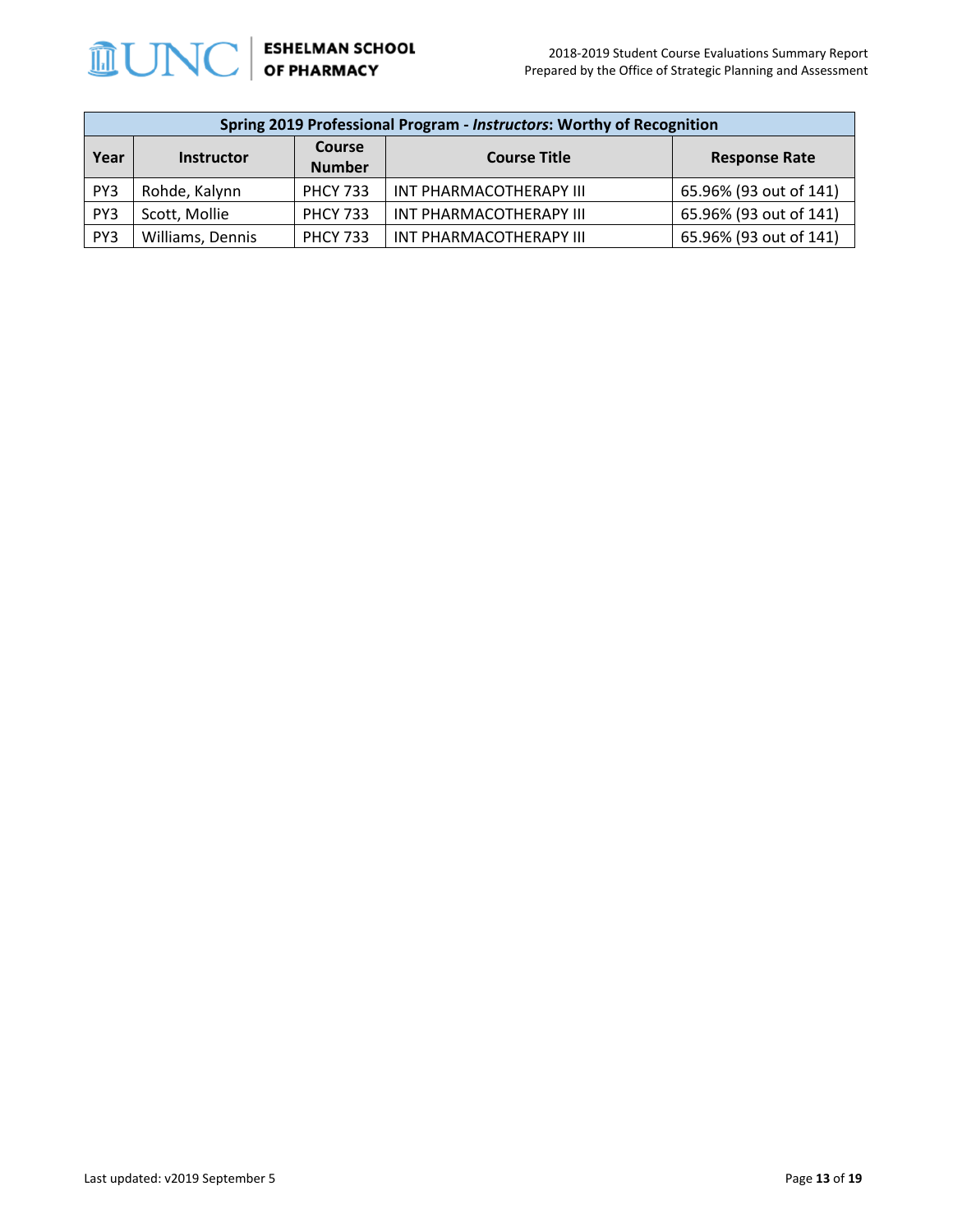

|      | Spring 2019 Professional Program - Instructors: Worthy of Recognition |                         |                         |                        |  |  |
|------|-----------------------------------------------------------------------|-------------------------|-------------------------|------------------------|--|--|
| Year | <b>Instructor</b>                                                     | Course<br><b>Number</b> | <b>Course Title</b>     | <b>Response Rate</b>   |  |  |
| PY3  | Rohde, Kalynn                                                         | <b>PHCY 733</b>         | INT PHARMACOTHERAPY III | 65.96% (93 out of 141) |  |  |
| PY3  | Scott, Mollie                                                         | <b>PHCY 733</b>         | INT PHARMACOTHERAPY III | 65.96% (93 out of 141) |  |  |
| PY3  | Williams, Dennis                                                      | <b>PHCY 733</b>         | INT PHARMACOTHERAPY III | 65.96% (93 out of 141) |  |  |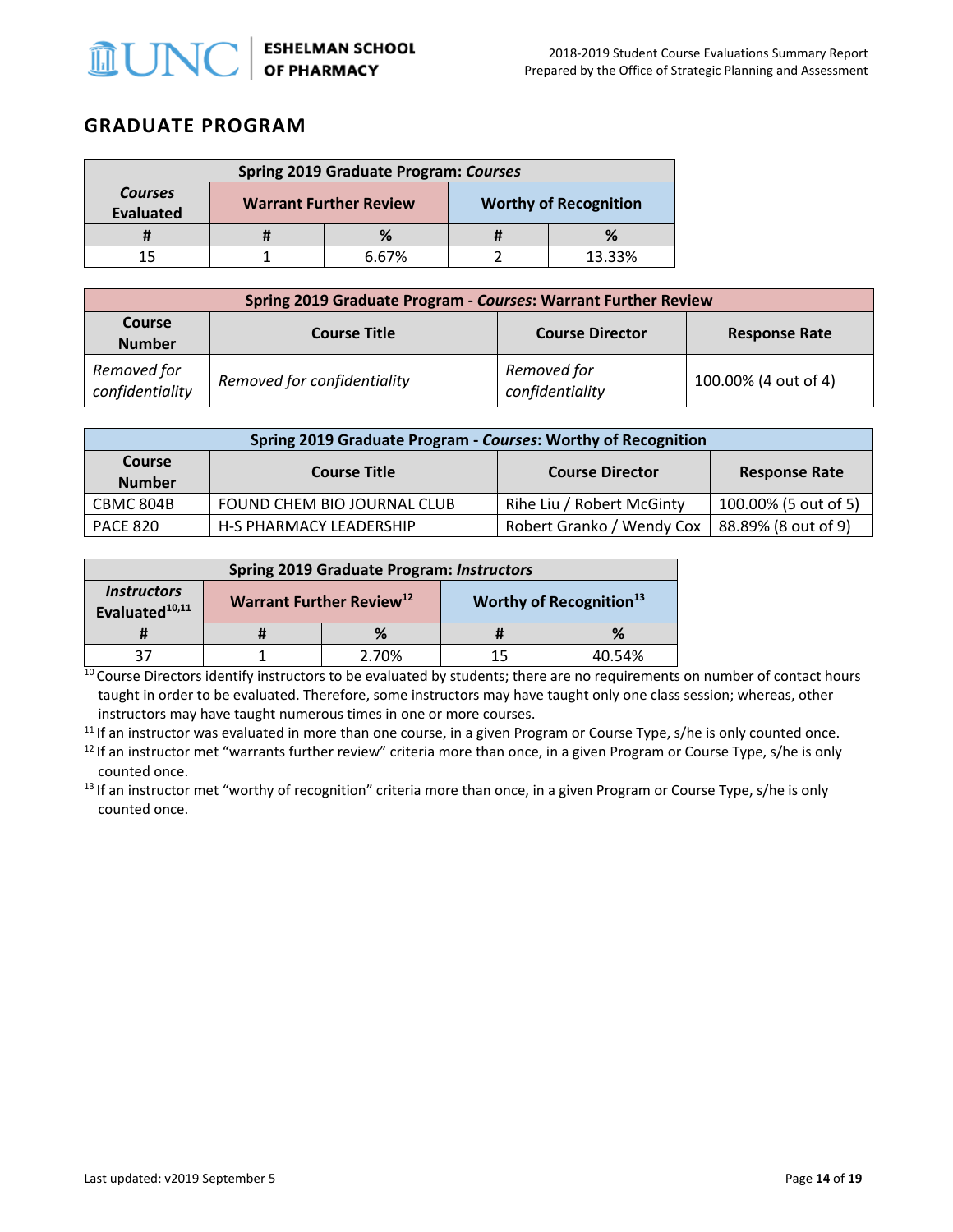

### **GRADUATE PROGRAM**

| <b>Spring 2019 Graduate Program: Courses</b> |  |                               |  |                              |
|----------------------------------------------|--|-------------------------------|--|------------------------------|
| <b>Courses</b><br><b>Evaluated</b>           |  | <b>Warrant Further Review</b> |  | <b>Worthy of Recognition</b> |
|                                              |  | %                             |  |                              |
| 15                                           |  | 6.67%                         |  | 13.33%                       |

| Spring 2019 Graduate Program - Courses: Warrant Further Review |                             |                                |                      |  |
|----------------------------------------------------------------|-----------------------------|--------------------------------|----------------------|--|
| <b>Course</b><br><b>Number</b>                                 | <b>Course Title</b>         | <b>Course Director</b>         | <b>Response Rate</b> |  |
| Removed for<br>confidentiality                                 | Removed for confidentiality | Removed for<br>confidentiality | 100.00% (4 out of 4) |  |

| Spring 2019 Graduate Program - Courses: Worthy of Recognition |                                |                           |                      |  |  |  |
|---------------------------------------------------------------|--------------------------------|---------------------------|----------------------|--|--|--|
| Course<br><b>Number</b>                                       | <b>Course Title</b>            | <b>Course Director</b>    | <b>Response Rate</b> |  |  |  |
| CBMC 804B                                                     | FOUND CHEM BIO JOURNAL CLUB    | Rihe Liu / Robert McGinty | 100.00% (5 out of 5) |  |  |  |
| <b>PACE 820</b>                                               | <b>H-S PHARMACY LEADERSHIP</b> | Robert Granko / Wendy Cox | 88.89% (8 out of 9)  |  |  |  |

| <b>Spring 2019 Graduate Program: Instructors</b>        |                                                                             |       |    |        |
|---------------------------------------------------------|-----------------------------------------------------------------------------|-------|----|--------|
| <i><b>Instructors</b></i><br>Evaluated <sup>10,11</sup> | Warrant Further Review <sup>12</sup><br>Worthy of Recognition <sup>13</sup> |       |    |        |
|                                                         |                                                                             | %     |    |        |
|                                                         |                                                                             | 2.70% | 15 | 40.54% |

 $10$  Course Directors identify instructors to be evaluated by students; there are no requirements on number of contact hours taught in order to be evaluated. Therefore, some instructors may have taught only one class session; whereas, other instructors may have taught numerous times in one or more courses.

 $11$  If an instructor was evaluated in more than one course, in a given Program or Course Type, s/he is only counted once.

 $12$  If an instructor met "warrants further review" criteria more than once, in a given Program or Course Type, s/he is only counted once.<br><sup>13</sup> If an instructor met "worthy of recognition" criteria more than once, in a given Program or Course Type, s/he is only

counted once.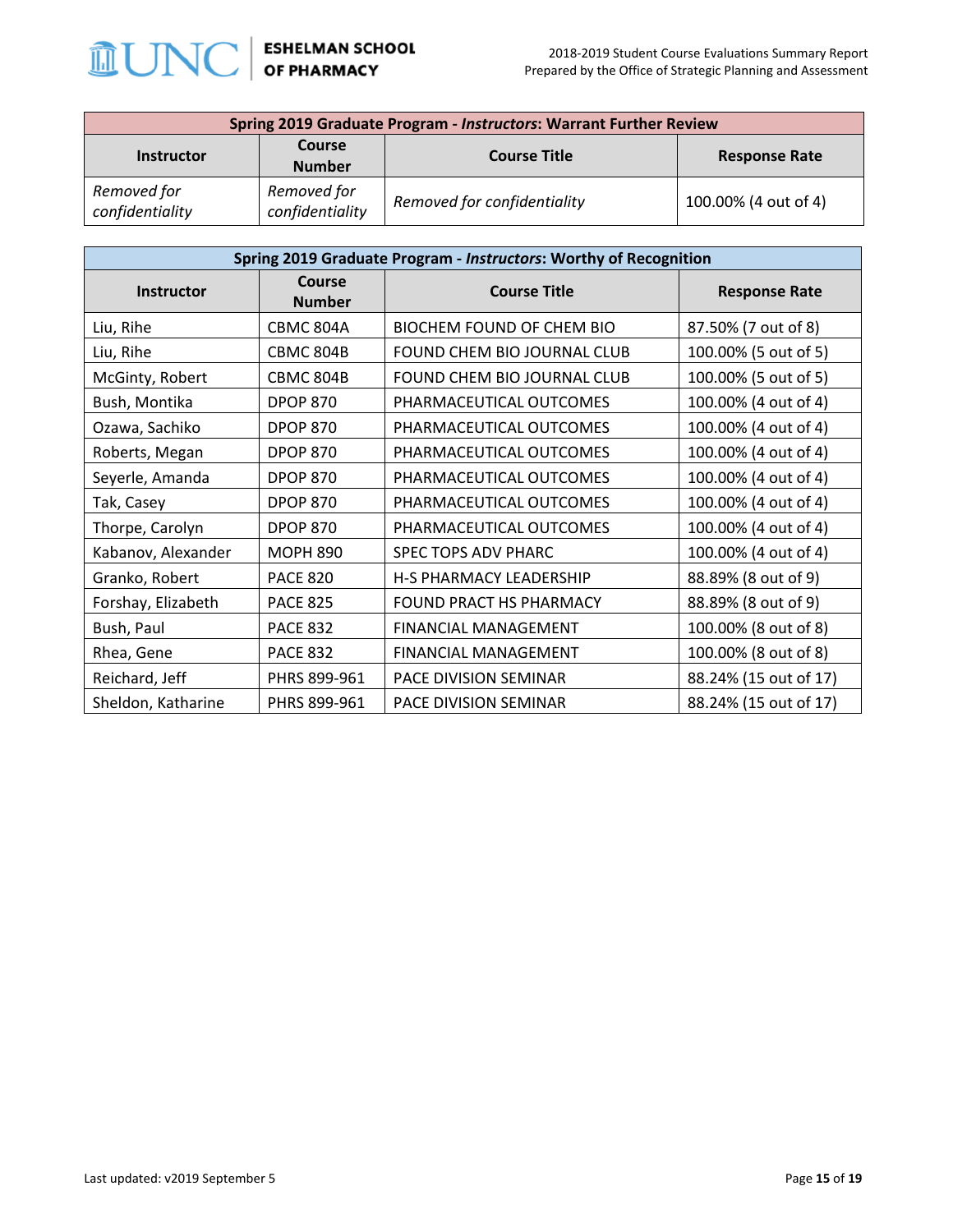

| <b>Spring 2019 Graduate Program - Instructors: Warrant Further Review</b> |                                |                             |                      |  |
|---------------------------------------------------------------------------|--------------------------------|-----------------------------|----------------------|--|
| <b>Instructor</b>                                                         | <b>Course</b>                  | <b>Course Title</b>         | <b>Response Rate</b> |  |
|                                                                           | <b>Number</b>                  |                             |                      |  |
| Removed for<br>confidentiality                                            | Removed for<br>confidentiality | Removed for confidentiality | 100.00% (4 out of 4) |  |

| Spring 2019 Graduate Program - Instructors: Worthy of Recognition |                         |                                |                       |  |
|-------------------------------------------------------------------|-------------------------|--------------------------------|-----------------------|--|
| <b>Instructor</b>                                                 | Course<br><b>Number</b> | <b>Course Title</b>            | <b>Response Rate</b>  |  |
| Liu, Rihe                                                         | CBMC 804A               | BIOCHEM FOUND OF CHEM BIO      | 87.50% (7 out of 8)   |  |
| Liu, Rihe                                                         | <b>CBMC 804B</b>        | FOUND CHEM BIO JOURNAL CLUB    | 100.00% (5 out of 5)  |  |
| McGinty, Robert                                                   | <b>CBMC 804B</b>        | FOUND CHEM BIO JOURNAL CLUB    | 100.00% (5 out of 5)  |  |
| Bush, Montika                                                     | <b>DPOP 870</b>         | PHARMACEUTICAL OUTCOMES        | 100.00% (4 out of 4)  |  |
| Ozawa, Sachiko                                                    | <b>DPOP 870</b>         | PHARMACEUTICAL OUTCOMES        | 100.00% (4 out of 4)  |  |
| Roberts, Megan                                                    | <b>DPOP 870</b>         | PHARMACEUTICAL OUTCOMES        | 100.00% (4 out of 4)  |  |
| Seyerle, Amanda                                                   | <b>DPOP 870</b>         | PHARMACEUTICAL OUTCOMES        | 100.00% (4 out of 4)  |  |
| Tak, Casey                                                        | <b>DPOP 870</b>         | PHARMACEUTICAL OUTCOMES        | 100.00% (4 out of 4)  |  |
| Thorpe, Carolyn                                                   | <b>DPOP 870</b>         | PHARMACEUTICAL OUTCOMES        | 100.00% (4 out of 4)  |  |
| Kabanov, Alexander                                                | <b>MOPH 890</b>         | SPEC TOPS ADV PHARC            | 100.00% (4 out of 4)  |  |
| Granko, Robert                                                    | <b>PACE 820</b>         | <b>H-S PHARMACY LEADERSHIP</b> | 88.89% (8 out of 9)   |  |
| Forshay, Elizabeth                                                | <b>PACE 825</b>         | FOUND PRACT HS PHARMACY        | 88.89% (8 out of 9)   |  |
| Bush, Paul                                                        | <b>PACE 832</b>         | <b>FINANCIAL MANAGEMENT</b>    | 100.00% (8 out of 8)  |  |
| Rhea, Gene                                                        | <b>PACE 832</b>         | <b>FINANCIAL MANAGEMENT</b>    | 100.00% (8 out of 8)  |  |
| Reichard, Jeff                                                    | PHRS 899-961            | PACE DIVISION SEMINAR          | 88.24% (15 out of 17) |  |
| Sheldon, Katharine                                                | PHRS 899-961            | PACE DIVISION SEMINAR          | 88.24% (15 out of 17) |  |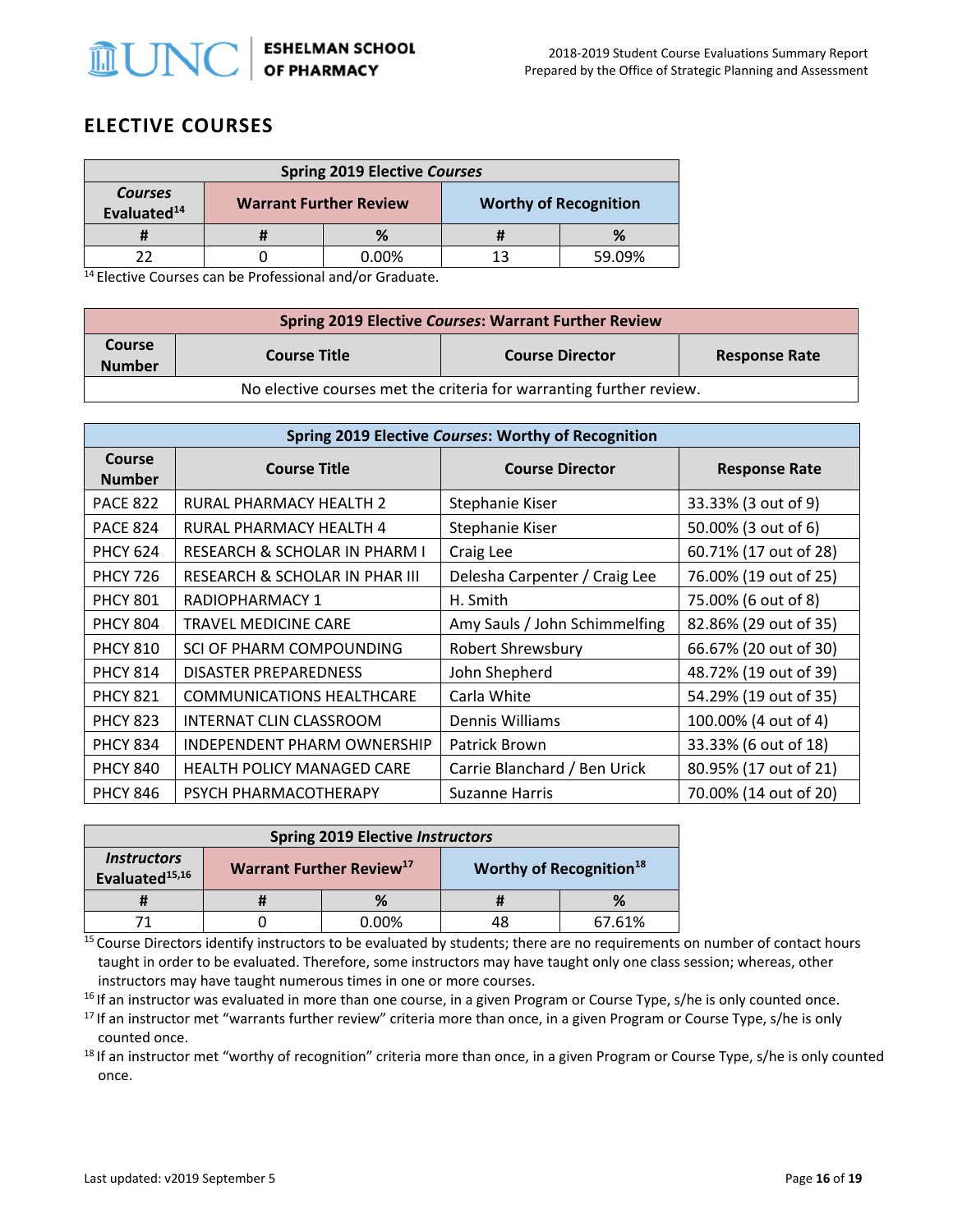

## **ELECTIVE COURSES**

| <b>Spring 2019 Elective Courses</b>       |  |                               |                              |        |  |
|-------------------------------------------|--|-------------------------------|------------------------------|--------|--|
| <b>Courses</b><br>Evaluated <sup>14</sup> |  | <b>Warrant Further Review</b> | <b>Worthy of Recognition</b> |        |  |
|                                           |  |                               |                              |        |  |
|                                           |  | 0.00%                         | 13                           | 59.09% |  |

 $14$  Elective Courses can be Professional and/or Graduate.

| <b>Spring 2019 Elective Courses: Warrant Further Review</b>         |                                                                       |  |  |  |  |  |
|---------------------------------------------------------------------|-----------------------------------------------------------------------|--|--|--|--|--|
| <b>Course</b><br><b>Number</b>                                      | <b>Course Title</b><br><b>Course Director</b><br><b>Response Rate</b> |  |  |  |  |  |
| No elective courses met the criteria for warranting further review. |                                                                       |  |  |  |  |  |

| <b>Spring 2019 Elective Courses: Worthy of Recognition</b> |                                    |                               |                       |  |  |  |
|------------------------------------------------------------|------------------------------------|-------------------------------|-----------------------|--|--|--|
| <b>Course</b><br><b>Number</b>                             | <b>Course Title</b>                | <b>Course Director</b>        | <b>Response Rate</b>  |  |  |  |
| <b>PACE 822</b>                                            | RURAL PHARMACY HEALTH 2            | Stephanie Kiser               | 33.33% (3 out of 9)   |  |  |  |
| <b>PACE 824</b>                                            | RURAL PHARMACY HEALTH 4            | Stephanie Kiser               | 50.00% (3 out of 6)   |  |  |  |
| <b>PHCY 624</b>                                            | RESEARCH & SCHOLAR IN PHARM I      | Craig Lee                     | 60.71% (17 out of 28) |  |  |  |
| <b>PHCY 726</b>                                            | RESEARCH & SCHOLAR IN PHAR III     | Delesha Carpenter / Craig Lee | 76.00% (19 out of 25) |  |  |  |
| <b>PHCY 801</b>                                            | RADIOPHARMACY 1                    | H. Smith                      | 75.00% (6 out of 8)   |  |  |  |
| <b>PHCY 804</b>                                            | <b>TRAVEL MEDICINE CARE</b>        | Amy Sauls / John Schimmelfing | 82.86% (29 out of 35) |  |  |  |
| <b>PHCY 810</b>                                            | SCI OF PHARM COMPOUNDING           | Robert Shrewsbury             | 66.67% (20 out of 30) |  |  |  |
| <b>PHCY 814</b>                                            | <b>DISASTER PREPAREDNESS</b>       | John Shepherd                 | 48.72% (19 out of 39) |  |  |  |
| <b>PHCY 821</b>                                            | <b>COMMUNICATIONS HEALTHCARE</b>   | Carla White                   | 54.29% (19 out of 35) |  |  |  |
| <b>PHCY 823</b>                                            | INTERNAT CLIN CLASSROOM            | Dennis Williams               | 100.00% (4 out of 4)  |  |  |  |
| <b>PHCY 834</b>                                            | <b>INDEPENDENT PHARM OWNERSHIP</b> | Patrick Brown                 | 33.33% (6 out of 18)  |  |  |  |
| <b>PHCY 840</b>                                            | <b>HEALTH POLICY MANAGED CARE</b>  | Carrie Blanchard / Ben Urick  | 80.95% (17 out of 21) |  |  |  |
| <b>PHCY 846</b>                                            | PSYCH PHARMACOTHERAPY              | <b>Suzanne Harris</b>         | 70.00% (14 out of 20) |  |  |  |

| <b>Spring 2019 Elective Instructors</b>                 |                                                                                    |       |    |        |
|---------------------------------------------------------|------------------------------------------------------------------------------------|-------|----|--------|
| <i><b>Instructors</b></i><br>Evaluated <sup>15,16</sup> | <b>Warrant Further Review</b> <sup>17</sup><br>Worthy of Recognition <sup>18</sup> |       |    |        |
|                                                         |                                                                                    | %     |    | %      |
|                                                         |                                                                                    | 0.00% | 48 | 67.61% |

<sup>15</sup> Course Directors identify instructors to be evaluated by students; there are no requirements on number of contact hours taught in order to be evaluated. Therefore, some instructors may have taught only one class session; whereas, other instructors may have taught numerous times in one or more courses.

<sup>16</sup> If an instructor was evaluated in more than one course, in a given Program or Course Type, s/he is only counted once.<br><sup>17</sup> If an instructor met "warrants further review" criteria more than once, in a given Program or

counted once.<br><sup>18</sup> If an instructor met "worthy of recognition" criteria more than once, in a given Program or Course Type, s/he is only counted

once.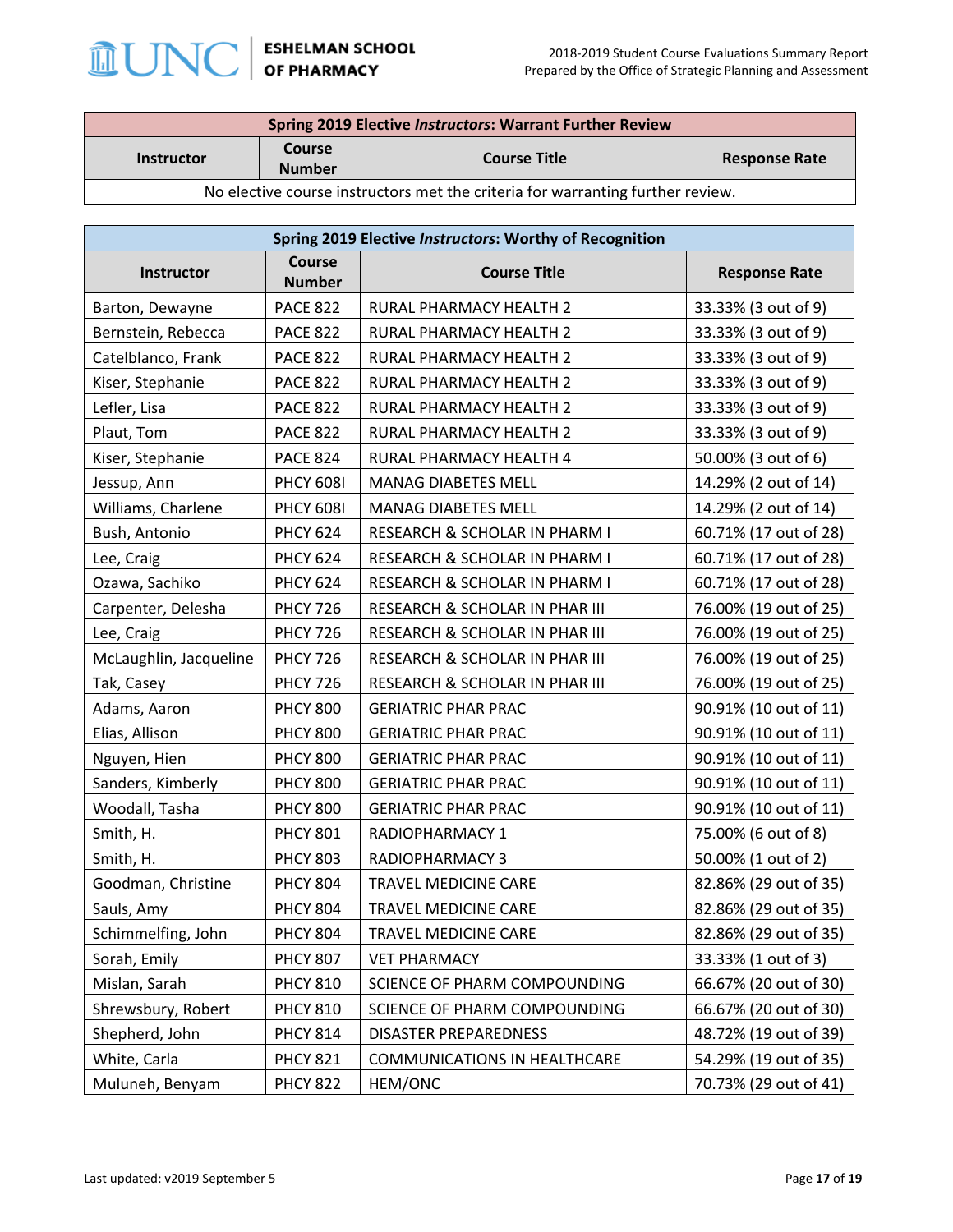

| <b>Spring 2019 Elective Instructors: Warrant Further Review</b>                |                                |                     |                      |  |
|--------------------------------------------------------------------------------|--------------------------------|---------------------|----------------------|--|
| <b>Instructor</b>                                                              | <b>Course</b><br><b>Number</b> | <b>Course Title</b> | <b>Response Rate</b> |  |
| No elective course instructors met the criteria for warranting further review. |                                |                     |                      |  |

| Spring 2019 Elective Instructors: Worthy of Recognition |                                |                                |                       |  |
|---------------------------------------------------------|--------------------------------|--------------------------------|-----------------------|--|
| Instructor                                              | <b>Course</b><br><b>Number</b> | <b>Course Title</b>            | <b>Response Rate</b>  |  |
| Barton, Dewayne                                         | <b>PACE 822</b>                | RURAL PHARMACY HEALTH 2        | 33.33% (3 out of 9)   |  |
| Bernstein, Rebecca                                      | <b>PACE 822</b>                | RURAL PHARMACY HEALTH 2        | 33.33% (3 out of 9)   |  |
| Catelblanco, Frank                                      | <b>PACE 822</b>                | RURAL PHARMACY HEALTH 2        | 33.33% (3 out of 9)   |  |
| Kiser, Stephanie                                        | <b>PACE 822</b>                | RURAL PHARMACY HEALTH 2        | 33.33% (3 out of 9)   |  |
| Lefler, Lisa                                            | <b>PACE 822</b>                | RURAL PHARMACY HEALTH 2        | 33.33% (3 out of 9)   |  |
| Plaut, Tom                                              | <b>PACE 822</b>                | RURAL PHARMACY HEALTH 2        | 33.33% (3 out of 9)   |  |
| Kiser, Stephanie                                        | <b>PACE 824</b>                | RURAL PHARMACY HEALTH 4        | 50.00% (3 out of 6)   |  |
| Jessup, Ann                                             | <b>PHCY 608I</b>               | <b>MANAG DIABETES MELL</b>     | 14.29% (2 out of 14)  |  |
| Williams, Charlene                                      | <b>PHCY 608I</b>               | MANAG DIABETES MELL            | 14.29% (2 out of 14)  |  |
| Bush, Antonio                                           | <b>PHCY 624</b>                | RESEARCH & SCHOLAR IN PHARM I  | 60.71% (17 out of 28) |  |
| Lee, Craig                                              | <b>PHCY 624</b>                | RESEARCH & SCHOLAR IN PHARM I  | 60.71% (17 out of 28) |  |
| Ozawa, Sachiko                                          | <b>PHCY 624</b>                | RESEARCH & SCHOLAR IN PHARM I  | 60.71% (17 out of 28) |  |
| Carpenter, Delesha                                      | <b>PHCY 726</b>                | RESEARCH & SCHOLAR IN PHAR III | 76.00% (19 out of 25) |  |
| Lee, Craig                                              | <b>PHCY 726</b>                | RESEARCH & SCHOLAR IN PHAR III | 76.00% (19 out of 25) |  |
| McLaughlin, Jacqueline                                  | <b>PHCY 726</b>                | RESEARCH & SCHOLAR IN PHAR III | 76.00% (19 out of 25) |  |
| Tak, Casey                                              | <b>PHCY 726</b>                | RESEARCH & SCHOLAR IN PHAR III | 76.00% (19 out of 25) |  |
| Adams, Aaron                                            | <b>PHCY 800</b>                | <b>GERIATRIC PHAR PRAC</b>     | 90.91% (10 out of 11) |  |
| Elias, Allison                                          | <b>PHCY 800</b>                | <b>GERIATRIC PHAR PRAC</b>     | 90.91% (10 out of 11) |  |
| Nguyen, Hien                                            | <b>PHCY 800</b>                | <b>GERIATRIC PHAR PRAC</b>     | 90.91% (10 out of 11) |  |
| Sanders, Kimberly                                       | <b>PHCY 800</b>                | <b>GERIATRIC PHAR PRAC</b>     | 90.91% (10 out of 11) |  |
| Woodall, Tasha                                          | <b>PHCY 800</b>                | <b>GERIATRIC PHAR PRAC</b>     | 90.91% (10 out of 11) |  |
| Smith, H.                                               | <b>PHCY 801</b>                | RADIOPHARMACY 1                | 75.00% (6 out of 8)   |  |
| Smith, H.                                               | <b>PHCY 803</b>                | RADIOPHARMACY 3                | 50.00% (1 out of 2)   |  |
| Goodman, Christine                                      | <b>PHCY 804</b>                | TRAVEL MEDICINE CARE           | 82.86% (29 out of 35) |  |
| Sauls, Amy                                              | <b>PHCY 804</b>                | TRAVEL MEDICINE CARE           | 82.86% (29 out of 35) |  |
| Schimmelfing, John                                      | <b>PHCY 804</b>                | TRAVEL MEDICINE CARE           | 82.86% (29 out of 35) |  |
| Sorah, Emily                                            | <b>PHCY 807</b>                | <b>VET PHARMACY</b>            | 33.33% (1 out of 3)   |  |
| Mislan, Sarah                                           | <b>PHCY 810</b>                | SCIENCE OF PHARM COMPOUNDING   | 66.67% (20 out of 30) |  |
| Shrewsbury, Robert                                      | <b>PHCY 810</b>                | SCIENCE OF PHARM COMPOUNDING   | 66.67% (20 out of 30) |  |
| Shepherd, John                                          | <b>PHCY 814</b>                | <b>DISASTER PREPAREDNESS</b>   | 48.72% (19 out of 39) |  |
| White, Carla                                            | <b>PHCY 821</b>                | COMMUNICATIONS IN HEALTHCARE   | 54.29% (19 out of 35) |  |
| Muluneh, Benyam                                         | <b>PHCY 822</b>                | HEM/ONC                        | 70.73% (29 out of 41) |  |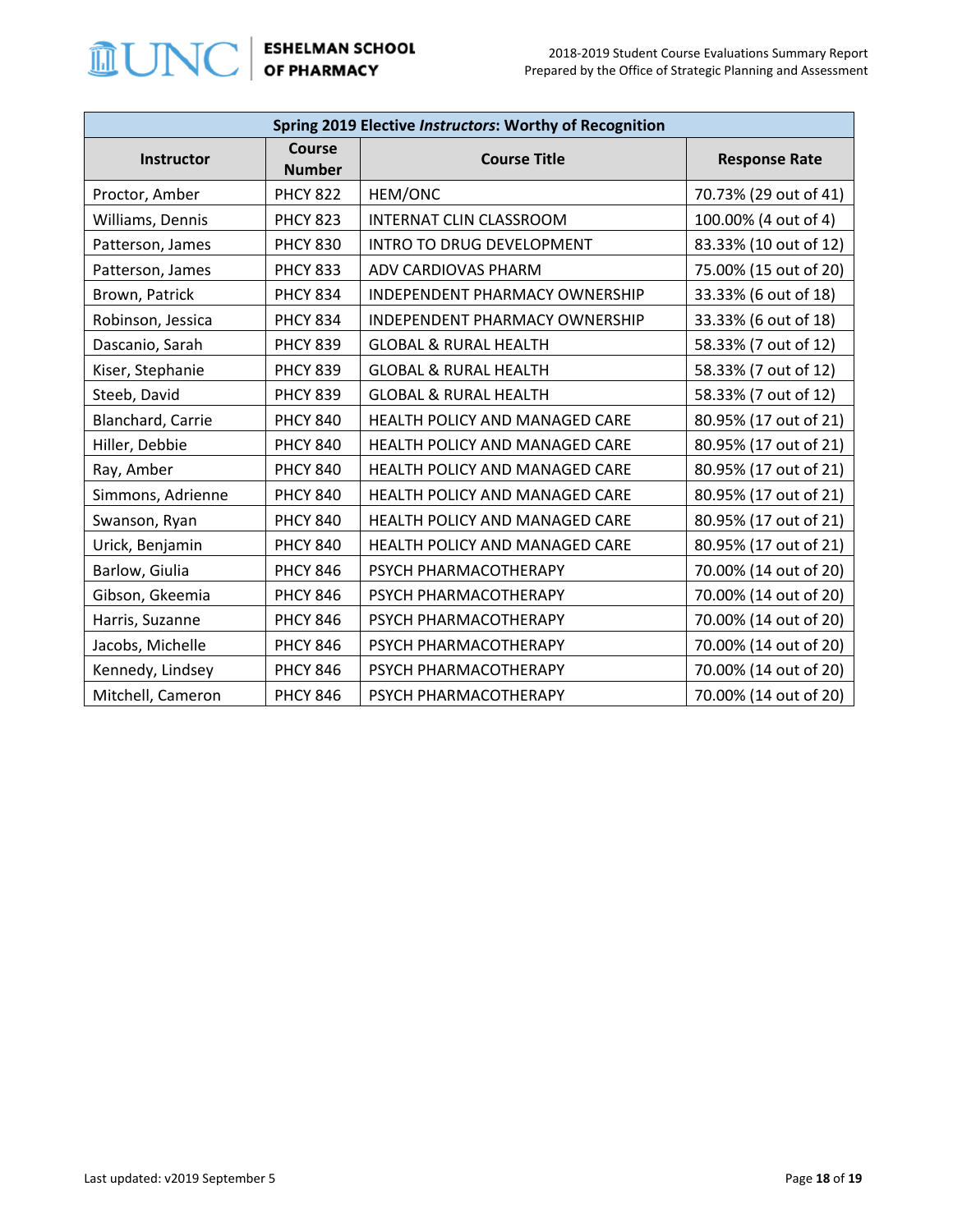

| Spring 2019 Elective Instructors: Worthy of Recognition |                                |                                       |                       |  |
|---------------------------------------------------------|--------------------------------|---------------------------------------|-----------------------|--|
| Instructor                                              | <b>Course</b><br><b>Number</b> | <b>Course Title</b>                   | <b>Response Rate</b>  |  |
| Proctor, Amber                                          | <b>PHCY 822</b>                | HEM/ONC                               | 70.73% (29 out of 41) |  |
| Williams, Dennis                                        | <b>PHCY 823</b>                | <b>INTERNAT CLIN CLASSROOM</b>        | 100.00% (4 out of 4)  |  |
| Patterson, James                                        | <b>PHCY 830</b>                | INTRO TO DRUG DEVELOPMENT             | 83.33% (10 out of 12) |  |
| Patterson, James                                        | <b>PHCY 833</b>                | ADV CARDIOVAS PHARM                   | 75.00% (15 out of 20) |  |
| Brown, Patrick                                          | <b>PHCY 834</b>                | <b>INDEPENDENT PHARMACY OWNERSHIP</b> | 33.33% (6 out of 18)  |  |
| Robinson, Jessica                                       | <b>PHCY 834</b>                | INDEPENDENT PHARMACY OWNERSHIP        | 33.33% (6 out of 18)  |  |
| Dascanio, Sarah                                         | <b>PHCY 839</b>                | <b>GLOBAL &amp; RURAL HEALTH</b>      | 58.33% (7 out of 12)  |  |
| Kiser, Stephanie                                        | <b>PHCY 839</b>                | <b>GLOBAL &amp; RURAL HEALTH</b>      | 58.33% (7 out of 12)  |  |
| Steeb, David                                            | <b>PHCY 839</b>                | <b>GLOBAL &amp; RURAL HEALTH</b>      | 58.33% (7 out of 12)  |  |
| Blanchard, Carrie                                       | <b>PHCY 840</b>                | HEALTH POLICY AND MANAGED CARE        | 80.95% (17 out of 21) |  |
| Hiller, Debbie                                          | <b>PHCY 840</b>                | HEALTH POLICY AND MANAGED CARE        | 80.95% (17 out of 21) |  |
| Ray, Amber                                              | <b>PHCY 840</b>                | <b>HEALTH POLICY AND MANAGED CARE</b> | 80.95% (17 out of 21) |  |
| Simmons, Adrienne                                       | <b>PHCY 840</b>                | HEALTH POLICY AND MANAGED CARE        | 80.95% (17 out of 21) |  |
| Swanson, Ryan                                           | <b>PHCY 840</b>                | HEALTH POLICY AND MANAGED CARE        | 80.95% (17 out of 21) |  |
| Urick, Benjamin                                         | <b>PHCY 840</b>                | HEALTH POLICY AND MANAGED CARE        | 80.95% (17 out of 21) |  |
| Barlow, Giulia                                          | <b>PHCY 846</b>                | PSYCH PHARMACOTHERAPY                 | 70.00% (14 out of 20) |  |
| Gibson, Gkeemia                                         | <b>PHCY 846</b>                | PSYCH PHARMACOTHERAPY                 | 70.00% (14 out of 20) |  |
| Harris, Suzanne                                         | <b>PHCY 846</b>                | PSYCH PHARMACOTHERAPY                 | 70.00% (14 out of 20) |  |
| Jacobs, Michelle                                        | <b>PHCY 846</b>                | PSYCH PHARMACOTHERAPY                 | 70.00% (14 out of 20) |  |
| Kennedy, Lindsey                                        | <b>PHCY 846</b>                | PSYCH PHARMACOTHERAPY                 | 70.00% (14 out of 20) |  |
| Mitchell, Cameron                                       | <b>PHCY 846</b>                | PSYCH PHARMACOTHERAPY                 | 70.00% (14 out of 20) |  |